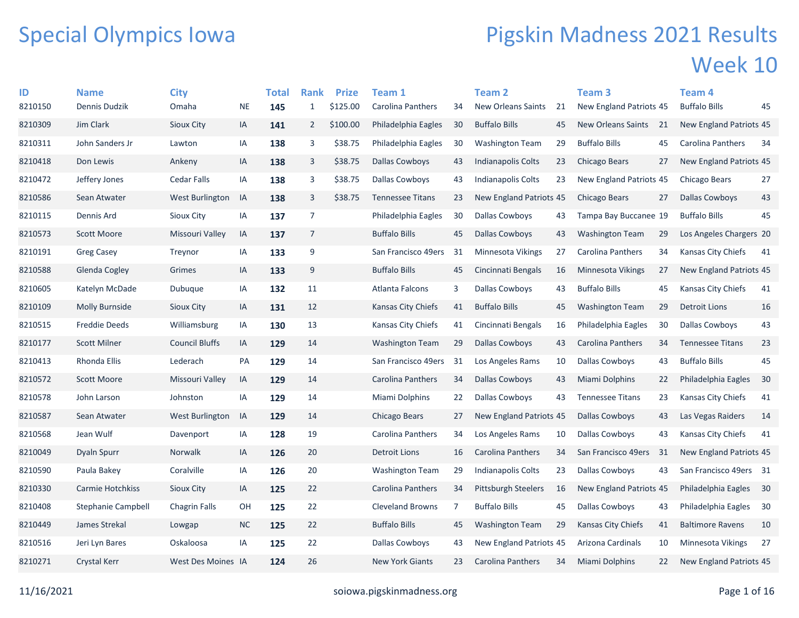## Special Olympics Iowa

## Pigskin Madness 2021 Results Week 10

| ID      | <b>Name</b>           | <b>City</b>            |           | <b>Total</b> | <b>Rank</b>    | <b>Prize</b> | Team 1                   |                | <b>Team 2</b>                  |    | Team <sub>3</sub>        |    | Team 4                  |    |
|---------|-----------------------|------------------------|-----------|--------------|----------------|--------------|--------------------------|----------------|--------------------------------|----|--------------------------|----|-------------------------|----|
| 8210150 | Dennis Dudzik         | Omaha                  | <b>NE</b> | 145          | $\mathbf{1}$   | \$125.00     | <b>Carolina Panthers</b> | 34             | New Orleans Saints             | 21 | New England Patriots 45  |    | <b>Buffalo Bills</b>    | 45 |
| 8210309 | Jim Clark             | <b>Sioux City</b>      | IA        | 141          | $\overline{2}$ | \$100.00     | Philadelphia Eagles      | 30             | <b>Buffalo Bills</b>           | 45 | New Orleans Saints       | 21 | New England Patriots 45 |    |
| 8210311 | John Sanders Jr       | Lawton                 | IA        | 138          | 3              | \$38.75      | Philadelphia Eagles      | 30             | <b>Washington Team</b>         | 29 | <b>Buffalo Bills</b>     | 45 | Carolina Panthers       | 34 |
| 8210418 | Don Lewis             | Ankeny                 | IA        | 138          | 3              | \$38.75      | <b>Dallas Cowboys</b>    | 43             | Indianapolis Colts             | 23 | Chicago Bears            | 27 | New England Patriots 45 |    |
| 8210472 | Jeffery Jones         | <b>Cedar Falls</b>     | IA        | 138          | 3              | \$38.75      | Dallas Cowboys           | 43             | Indianapolis Colts             | 23 | New England Patriots 45  |    | Chicago Bears           | 27 |
| 8210586 | Sean Atwater          | <b>West Burlington</b> | IA        | 138          | 3              | \$38.75      | <b>Tennessee Titans</b>  | 23             | New England Patriots 45        |    | Chicago Bears            | 27 | Dallas Cowboys          | 43 |
| 8210115 | Dennis Ard            | Sioux City             | IA        | 137          | $\overline{7}$ |              | Philadelphia Eagles      | 30             | Dallas Cowboys                 | 43 | Tampa Bay Buccanee 19    |    | <b>Buffalo Bills</b>    | 45 |
| 8210573 | <b>Scott Moore</b>    | Missouri Valley        | IA        | 137          | $\overline{7}$ |              | <b>Buffalo Bills</b>     | 45             | Dallas Cowboys                 | 43 | <b>Washington Team</b>   | 29 | Los Angeles Chargers 20 |    |
| 8210191 | <b>Greg Casey</b>     | Treynor                | IA        | 133          | 9              |              | San Francisco 49ers      | 31             | <b>Minnesota Vikings</b>       | 27 | Carolina Panthers        | 34 | Kansas City Chiefs      | 41 |
| 8210588 | Glenda Cogley         | Grimes                 | IA        | 133          | 9              |              | <b>Buffalo Bills</b>     | 45             | Cincinnati Bengals             | 16 | Minnesota Vikings        | 27 | New England Patriots 45 |    |
| 8210605 | Katelyn McDade        | Dubuque                | IA        | 132          | 11             |              | Atlanta Falcons          | 3              | Dallas Cowboys                 | 43 | <b>Buffalo Bills</b>     | 45 | Kansas City Chiefs      | 41 |
| 8210109 | <b>Molly Burnside</b> | Sioux City             | IA        | 131          | 12             |              | Kansas City Chiefs       | 41             | <b>Buffalo Bills</b>           | 45 | <b>Washington Team</b>   | 29 | <b>Detroit Lions</b>    | 16 |
| 8210515 | Freddie Deeds         | Williamsburg           | IA        | 130          | 13             |              | Kansas City Chiefs       | 41             | Cincinnati Bengals             | 16 | Philadelphia Eagles      | 30 | Dallas Cowboys          | 43 |
| 8210177 | <b>Scott Milner</b>   | <b>Council Bluffs</b>  | IA        | 129          | 14             |              | <b>Washington Team</b>   | 29             | Dallas Cowboys                 | 43 | <b>Carolina Panthers</b> | 34 | <b>Tennessee Titans</b> | 23 |
| 8210413 | Rhonda Ellis          | Lederach               | PA        | 129          | 14             |              | San Francisco 49ers      | 31             | Los Angeles Rams               | 10 | <b>Dallas Cowboys</b>    | 43 | <b>Buffalo Bills</b>    | 45 |
| 8210572 | <b>Scott Moore</b>    | Missouri Valley        | IA        | 129          | 14             |              | <b>Carolina Panthers</b> | 34             | Dallas Cowboys                 | 43 | Miami Dolphins           | 22 | Philadelphia Eagles     | 30 |
| 8210578 | John Larson           | Johnston               | IA        | 129          | 14             |              | <b>Miami Dolphins</b>    | 22             | Dallas Cowboys                 | 43 | <b>Tennessee Titans</b>  | 23 | Kansas City Chiefs      | 41 |
| 8210587 | Sean Atwater          | West Burlington        | IA        | 129          | 14             |              | Chicago Bears            | 27             | New England Patriots 45        |    | Dallas Cowboys           | 43 | Las Vegas Raiders       | 14 |
| 8210568 | Jean Wulf             | Davenport              | IA        | 128          | 19             |              | Carolina Panthers        | 34             | Los Angeles Rams               | 10 | <b>Dallas Cowboys</b>    | 43 | Kansas City Chiefs      | 41 |
| 8210049 | Dyaln Spurr           | <b>Norwalk</b>         | IA        | 126          | 20             |              | <b>Detroit Lions</b>     | 16             | <b>Carolina Panthers</b>       | 34 | San Francisco 49ers      | 31 | New England Patriots 45 |    |
| 8210590 | Paula Bakey           | Coralville             | IA        | 126          | 20             |              | <b>Washington Team</b>   | 29             | Indianapolis Colts             | 23 | <b>Dallas Cowboys</b>    | 43 | San Francisco 49ers 31  |    |
| 8210330 | Carmie Hotchkiss      | <b>Sioux City</b>      | IA        | 125          | 22             |              | Carolina Panthers        | 34             | <b>Pittsburgh Steelers</b>     | 16 | New England Patriots 45  |    | Philadelphia Eagles     | 30 |
| 8210408 | Stephanie Campbell    | <b>Chagrin Falls</b>   | OH        | 125          | 22             |              | <b>Cleveland Browns</b>  | $\overline{7}$ | <b>Buffalo Bills</b>           | 45 | Dallas Cowboys           | 43 | Philadelphia Eagles     | 30 |
| 8210449 | James Strekal         | Lowgap                 | <b>NC</b> | 125          | 22             |              | <b>Buffalo Bills</b>     | 45             | <b>Washington Team</b>         | 29 | Kansas City Chiefs       | 41 | <b>Baltimore Ravens</b> | 10 |
| 8210516 | Jeri Lyn Bares        | Oskaloosa              | IA        | 125          | 22             |              | <b>Dallas Cowboys</b>    | 43             | <b>New England Patriots 45</b> |    | Arizona Cardinals        | 10 | Minnesota Vikings       | 27 |
| 8210271 | <b>Crystal Kerr</b>   | West Des Moines IA     |           | 124          | 26             |              | <b>New York Giants</b>   | 23             | <b>Carolina Panthers</b>       | 34 | Miami Dolphins           | 22 | New England Patriots 45 |    |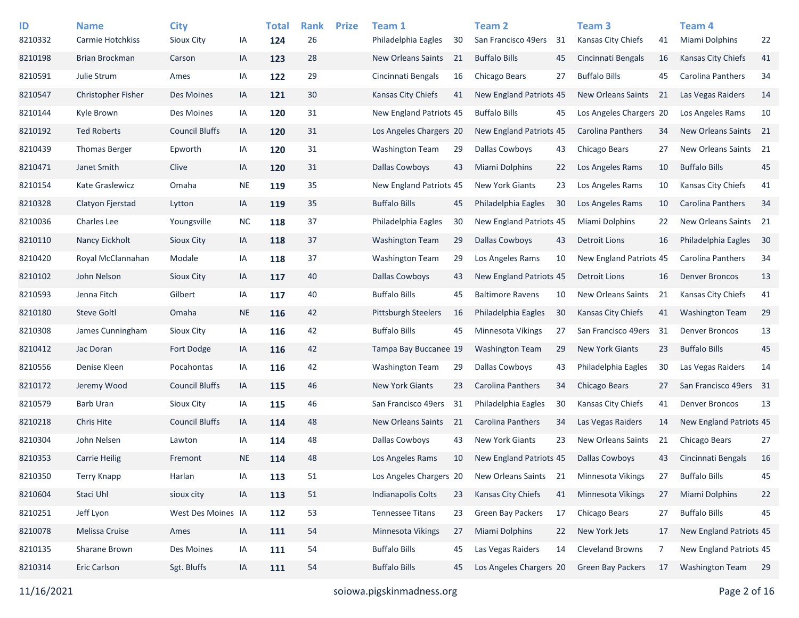| ID<br>8210332 | <b>Name</b><br>Carmie Hotchkiss | <b>City</b><br>Sioux City | IA        | <b>Total</b><br>124 | <b>Rank</b><br>26 | <b>Prize</b> | Team 1<br>Philadelphia Eagles | 30 | <b>Team 2</b><br>San Francisco 49ers | 31 | Team <sub>3</sub><br>Kansas City Chiefs | 41  | Team 4<br><b>Miami Dolphins</b> | 22 |
|---------------|---------------------------------|---------------------------|-----------|---------------------|-------------------|--------------|-------------------------------|----|--------------------------------------|----|-----------------------------------------|-----|---------------------------------|----|
| 8210198       | <b>Brian Brockman</b>           | Carson                    | IA        | 123                 | 28                |              | <b>New Orleans Saints</b>     | 21 | <b>Buffalo Bills</b>                 | 45 | Cincinnati Bengals                      | 16  | <b>Kansas City Chiefs</b>       | 41 |
| 8210591       | Julie Strum                     | Ames                      | IA        | 122                 | 29                |              | Cincinnati Bengals            | 16 | Chicago Bears                        | 27 | <b>Buffalo Bills</b>                    | 45  | Carolina Panthers               | 34 |
| 8210547       | Christopher Fisher              | Des Moines                | IA        | 121                 | 30                |              | Kansas City Chiefs            | 41 | New England Patriots 45              |    | <b>New Orleans Saints</b>               | 21  | Las Vegas Raiders               | 14 |
| 8210144       | Kyle Brown                      | Des Moines                | IA        | 120                 | 31                |              | New England Patriots 45       |    | <b>Buffalo Bills</b>                 | 45 | Los Angeles Chargers 20                 |     | Los Angeles Rams                | 10 |
| 8210192       | <b>Ted Roberts</b>              | <b>Council Bluffs</b>     | IA        | 120                 | 31                |              | Los Angeles Chargers 20       |    | New England Patriots 45              |    | Carolina Panthers                       | 34  | <b>New Orleans Saints</b>       | 21 |
| 8210439       | <b>Thomas Berger</b>            | Epworth                   | IA        | 120                 | 31                |              | <b>Washington Team</b>        | 29 | <b>Dallas Cowboys</b>                | 43 | Chicago Bears                           | 27  | New Orleans Saints 21           |    |
| 8210471       | Janet Smith                     | Clive                     | IA        | 120                 | 31                |              | <b>Dallas Cowboys</b>         | 43 | <b>Miami Dolphins</b>                | 22 | Los Angeles Rams                        | 10  | <b>Buffalo Bills</b>            | 45 |
| 8210154       | Kate Graslewicz                 | Omaha                     | <b>NE</b> | 119                 | 35                |              | New England Patriots 45       |    | <b>New York Giants</b>               | 23 | Los Angeles Rams                        | 10  | Kansas City Chiefs              | 41 |
| 8210328       | Clatyon Fjerstad                | Lytton                    | IA        | 119                 | 35                |              | <b>Buffalo Bills</b>          | 45 | Philadelphia Eagles                  | 30 | Los Angeles Rams                        | 10  | Carolina Panthers               | 34 |
| 8210036       | <b>Charles Lee</b>              | Youngsville               | <b>NC</b> | 118                 | 37                |              | Philadelphia Eagles           | 30 | New England Patriots 45              |    | Miami Dolphins                          | 22  | New Orleans Saints              | 21 |
| 8210110       | Nancy Eickholt                  | <b>Sioux City</b>         | IA        | 118                 | 37                |              | <b>Washington Team</b>        | 29 | <b>Dallas Cowboys</b>                | 43 | <b>Detroit Lions</b>                    | 16  | Philadelphia Eagles             | 30 |
| 8210420       | Royal McClannahan               | Modale                    | IA        | 118                 | 37                |              | <b>Washington Team</b>        | 29 | Los Angeles Rams                     | 10 | New England Patriots 45                 |     | Carolina Panthers               | 34 |
| 8210102       | John Nelson                     | Sioux City                | IA        | 117                 | 40                |              | <b>Dallas Cowboys</b>         | 43 | <b>New England Patriots 45</b>       |    | <b>Detroit Lions</b>                    | 16  | <b>Denver Broncos</b>           | 13 |
| 8210593       | Jenna Fitch                     | Gilbert                   | IA        | 117                 | 40                |              | <b>Buffalo Bills</b>          | 45 | <b>Baltimore Ravens</b>              | 10 | <b>New Orleans Saints</b>               | 21  | Kansas City Chiefs              | 41 |
| 8210180       | <b>Steve Goltl</b>              | Omaha                     | <b>NE</b> | 116                 | 42                |              | Pittsburgh Steelers           | 16 | Philadelphia Eagles                  | 30 | Kansas City Chiefs                      | 41  | <b>Washington Team</b>          | 29 |
| 8210308       | James Cunningham                | <b>Sioux City</b>         | IA        | 116                 | 42                |              | <b>Buffalo Bills</b>          | 45 | Minnesota Vikings                    | 27 | San Francisco 49ers                     | -31 | <b>Denver Broncos</b>           | 13 |
| 8210412       | Jac Doran                       | Fort Dodge                | IA        | 116                 | 42                |              | Tampa Bay Buccanee 19         |    | <b>Washington Team</b>               | 29 | <b>New York Giants</b>                  | 23  | <b>Buffalo Bills</b>            | 45 |
| 8210556       | Denise Kleen                    | Pocahontas                | IA        | 116                 | 42                |              | <b>Washington Team</b>        | 29 | <b>Dallas Cowboys</b>                | 43 | Philadelphia Eagles                     | 30  | Las Vegas Raiders               | 14 |
| 8210172       | Jeremy Wood                     | <b>Council Bluffs</b>     | IA        | 115                 | 46                |              | <b>New York Giants</b>        | 23 | Carolina Panthers                    | 34 | Chicago Bears                           | 27  | San Francisco 49ers 31          |    |
| 8210579       | <b>Barb Uran</b>                | <b>Sioux City</b>         | IA        | 115                 | 46                |              | San Francisco 49ers           | 31 | Philadelphia Eagles                  | 30 | Kansas City Chiefs                      | 41  | <b>Denver Broncos</b>           | 13 |
| 8210218       | <b>Chris Hite</b>               | <b>Council Bluffs</b>     | IA        | 114                 | 48                |              | <b>New Orleans Saints</b>     | 21 | <b>Carolina Panthers</b>             | 34 | Las Vegas Raiders                       | 14  | New England Patriots 45         |    |
| 8210304       | John Nelsen                     | Lawton                    | IA        | 114                 | 48                |              | Dallas Cowboys                | 43 | <b>New York Giants</b>               | 23 | <b>New Orleans Saints</b>               | 21  | Chicago Bears                   | 27 |
| 8210353       | <b>Carrie Heilig</b>            | Fremont                   | <b>NE</b> | 114                 | 48                |              | Los Angeles Rams              | 10 | New England Patriots 45              |    | <b>Dallas Cowboys</b>                   | 43  | Cincinnati Bengals              | 16 |
| 8210350       | <b>Terry Knapp</b>              | Harlan                    | IA        | 113                 | 51                |              | Los Angeles Chargers 20       |    | New Orleans Saints                   | 21 | Minnesota Vikings                       | 27  | <b>Buffalo Bills</b>            | 45 |
| 8210604       | Staci Uhl                       | sioux city                | IA        | 113                 | 51                |              | Indianapolis Colts            | 23 | Kansas City Chiefs                   | 41 | Minnesota Vikings                       | 27  | <b>Miami Dolphins</b>           | 22 |
| 8210251       | Jeff Lyon                       | West Des Moines IA        |           | 112                 | 53                |              | <b>Tennessee Titans</b>       | 23 | Green Bay Packers                    | 17 | Chicago Bears                           | 27  | <b>Buffalo Bills</b>            | 45 |
| 8210078       | Melissa Cruise                  | Ames                      | IA        | 111                 | 54                |              | Minnesota Vikings             | 27 | Miami Dolphins                       | 22 | New York Jets                           | 17  | New England Patriots 45         |    |
| 8210135       | Sharane Brown                   | Des Moines                | IA        | 111                 | 54                |              | <b>Buffalo Bills</b>          | 45 | Las Vegas Raiders                    | 14 | Cleveland Browns                        | 7   | New England Patriots 45         |    |
| 8210314       | Eric Carlson                    | Sgt. Bluffs               | IA        | 111                 | 54                |              | <b>Buffalo Bills</b>          | 45 | Los Angeles Chargers 20              |    | <b>Green Bay Packers</b>                | 17  | <b>Washington Team</b>          | 29 |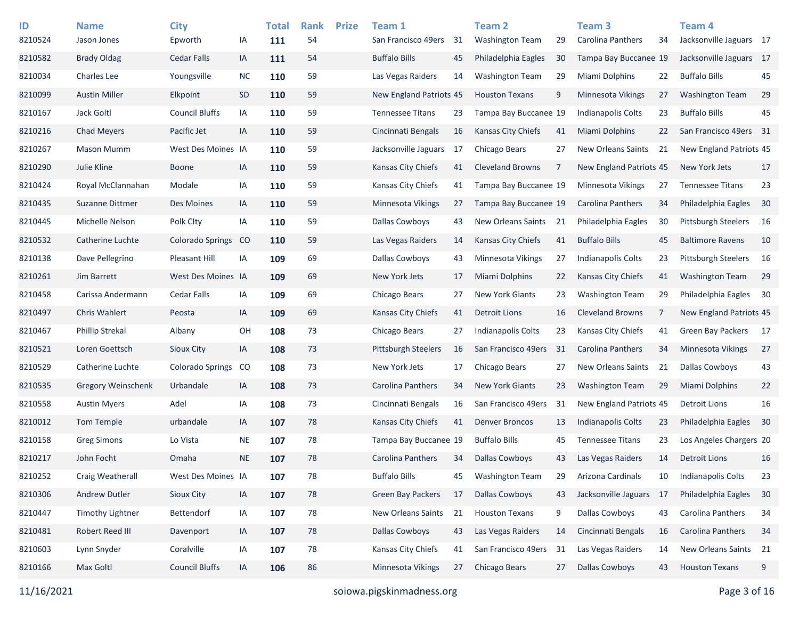| ID<br>8210524 | <b>Name</b><br>Jason Jones | <b>City</b><br>Epworth  | IA        | <b>Total</b><br>111 | <b>Rank</b><br>54 | <b>Prize</b> | Team 1<br>San Francisco 49ers | 31 | Team <sub>2</sub><br><b>Washington Team</b> | 29 | Team <sub>3</sub><br>Carolina Panthers | 34 | Team <sub>4</sub><br>Jacksonville Jaguars 17 |    |
|---------------|----------------------------|-------------------------|-----------|---------------------|-------------------|--------------|-------------------------------|----|---------------------------------------------|----|----------------------------------------|----|----------------------------------------------|----|
| 8210582       | <b>Brady Oldag</b>         | Cedar Falls             | IA        | 111                 | 54                |              | <b>Buffalo Bills</b>          | 45 | Philadelphia Eagles                         | 30 | Tampa Bay Buccanee 19                  |    | Jacksonville Jaguars 17                      |    |
| 8210034       | <b>Charles Lee</b>         | Youngsville             | <b>NC</b> | 110                 | 59                |              | Las Vegas Raiders             | 14 | <b>Washington Team</b>                      | 29 | Miami Dolphins                         | 22 | <b>Buffalo Bills</b>                         | 45 |
| 8210099       | <b>Austin Miller</b>       | Elkpoint                | <b>SD</b> | 110                 | 59                |              | New England Patriots 45       |    | <b>Houston Texans</b>                       | 9  | <b>Minnesota Vikings</b>               | 27 | <b>Washington Team</b>                       | 29 |
| 8210167       | Jack Goltl                 | <b>Council Bluffs</b>   | IA        | 110                 | 59                |              | <b>Tennessee Titans</b>       | 23 | Tampa Bay Buccanee 19                       |    | Indianapolis Colts                     | 23 | <b>Buffalo Bills</b>                         | 45 |
| 8210216       | <b>Chad Meyers</b>         | Pacific Jet             | IA        | 110                 | 59                |              | Cincinnati Bengals            | 16 | <b>Kansas City Chiefs</b>                   | 41 | Miami Dolphins                         | 22 | San Francisco 49ers 31                       |    |
| 8210267       | Mason Mumm                 | West Des Moines IA      |           | 110                 | 59                |              | Jacksonville Jaguars          | 17 | Chicago Bears                               | 27 | <b>New Orleans Saints</b>              | 21 | New England Patriots 45                      |    |
| 8210290       | Julie Kline                | <b>Boone</b>            | IA        | 110                 | 59                |              | Kansas City Chiefs            | 41 | <b>Cleveland Browns</b>                     | 7  | New England Patriots 45                |    | New York Jets                                | 17 |
| 8210424       | Royal McClannahan          | Modale                  | IA        | 110                 | 59                |              | Kansas City Chiefs            | 41 | Tampa Bay Buccanee 19                       |    | <b>Minnesota Vikings</b>               | 27 | <b>Tennessee Titans</b>                      | 23 |
| 8210435       | Suzanne Dittmer            | Des Moines              | IA        | 110                 | 59                |              | <b>Minnesota Vikings</b>      | 27 | Tampa Bay Buccanee 19                       |    | <b>Carolina Panthers</b>               | 34 | Philadelphia Eagles                          | 30 |
| 8210445       | Michelle Nelson            | Polk Clty               | IA        | 110                 | 59                |              | Dallas Cowboys                | 43 | New Orleans Saints                          | 21 | Philadelphia Eagles                    | 30 | Pittsburgh Steelers                          | 16 |
| 8210532       | Catherine Luchte           | <b>Colorado Springs</b> | CO        | 110                 | 59                |              | Las Vegas Raiders             | 14 | <b>Kansas City Chiefs</b>                   | 41 | <b>Buffalo Bills</b>                   | 45 | <b>Baltimore Ravens</b>                      | 10 |
| 8210138       | Dave Pellegrino            | Pleasant Hill           | IA        | 109                 | 69                |              | <b>Dallas Cowboys</b>         | 43 | Minnesota Vikings                           | 27 | <b>Indianapolis Colts</b>              | 23 | <b>Pittsburgh Steelers</b>                   | 16 |
| 8210261       | Jim Barrett                | West Des Moines IA      |           | 109                 | 69                |              | New York Jets                 | 17 | <b>Miami Dolphins</b>                       | 22 | Kansas City Chiefs                     | 41 | <b>Washington Team</b>                       | 29 |
| 8210458       | Carissa Andermann          | <b>Cedar Falls</b>      | IA        | 109                 | 69                |              | Chicago Bears                 | 27 | <b>New York Giants</b>                      | 23 | <b>Washington Team</b>                 | 29 | Philadelphia Eagles                          | 30 |
| 8210497       | <b>Chris Wahlert</b>       | Peosta                  | IA        | 109                 | 69                |              | Kansas City Chiefs            | 41 | Detroit Lions                               | 16 | <b>Cleveland Browns</b>                | 7  | New England Patriots 45                      |    |
| 8210467       | <b>Phillip Strekal</b>     | Albany                  | OH        | 108                 | 73                |              | Chicago Bears                 | 27 | <b>Indianapolis Colts</b>                   | 23 | Kansas City Chiefs                     | 41 | <b>Green Bay Packers</b>                     | 17 |
| 8210521       | Loren Goettsch             | Sioux City              | IA        | 108                 | 73                |              | Pittsburgh Steelers           | 16 | San Francisco 49ers                         | 31 | <b>Carolina Panthers</b>               | 34 | <b>Minnesota Vikings</b>                     | 27 |
| 8210529       | Catherine Luchte           | Colorado Springs        | CO        | 108                 | 73                |              | New York Jets                 | 17 | Chicago Bears                               | 27 | <b>New Orleans Saints</b>              | 21 | <b>Dallas Cowboys</b>                        | 43 |
| 8210535       | <b>Gregory Weinschenk</b>  | Urbandale               | IA        | 108                 | 73                |              | Carolina Panthers             | 34 | <b>New York Giants</b>                      | 23 | <b>Washington Team</b>                 | 29 | Miami Dolphins                               | 22 |
| 8210558       | <b>Austin Myers</b>        | Adel                    | IA        | 108                 | 73                |              | Cincinnati Bengals            | 16 | San Francisco 49ers                         | 31 | New England Patriots 45                |    | <b>Detroit Lions</b>                         | 16 |
| 8210012       | Tom Temple                 | urbandale               | IA        | 107                 | 78                |              | Kansas City Chiefs            | 41 | <b>Denver Broncos</b>                       | 13 | Indianapolis Colts                     | 23 | Philadelphia Eagles                          | 30 |
| 8210158       | <b>Greg Simons</b>         | Lo Vista                | <b>NE</b> | 107                 | 78                |              | Tampa Bay Buccanee 19         |    | <b>Buffalo Bills</b>                        | 45 | <b>Tennessee Titans</b>                | 23 | Los Angeles Chargers 20                      |    |
| 8210217       | John Focht                 | Omaha                   | <b>NE</b> | 107                 | 78                |              | <b>Carolina Panthers</b>      | 34 | <b>Dallas Cowboys</b>                       | 43 | Las Vegas Raiders                      | 14 | <b>Detroit Lions</b>                         | 16 |
| 8210252       | Craig Weatherall           | West Des Moines IA      |           | 107                 | 78                |              | <b>Buffalo Bills</b>          | 45 | <b>Washington Team</b>                      | 29 | Arizona Cardinals                      | 10 | Indianapolis Colts                           | 23 |
| 8210306       | Andrew Dutler              | Sioux City              | $\sf IA$  | 107                 | 78                |              | Green Bay Packers             | 17 | <b>Dallas Cowboys</b>                       | 43 | Jacksonville Jaguars 17                |    | Philadelphia Eagles                          | 30 |
| 8210447       | <b>Timothy Lightner</b>    | Bettendorf              | IA        | 107                 | 78                |              | New Orleans Saints            | 21 | <b>Houston Texans</b>                       | 9  | <b>Dallas Cowboys</b>                  | 43 | Carolina Panthers                            | 34 |
| 8210481       | Robert Reed III            | Davenport               | IA        | 107                 | 78                |              | <b>Dallas Cowboys</b>         | 43 | Las Vegas Raiders                           | 14 | Cincinnati Bengals                     | 16 | Carolina Panthers                            | 34 |
| 8210603       | Lynn Snyder                | Coralville              | IA        | 107                 | 78                |              | Kansas City Chiefs            | 41 | San Francisco 49ers                         | 31 | Las Vegas Raiders                      | 14 | New Orleans Saints 21                        |    |
| 8210166       | Max Goltl                  | <b>Council Bluffs</b>   | IA        | 106                 | 86                |              | Minnesota Vikings             | 27 | Chicago Bears                               | 27 | <b>Dallas Cowboys</b>                  | 43 | <b>Houston Texans</b>                        | 9  |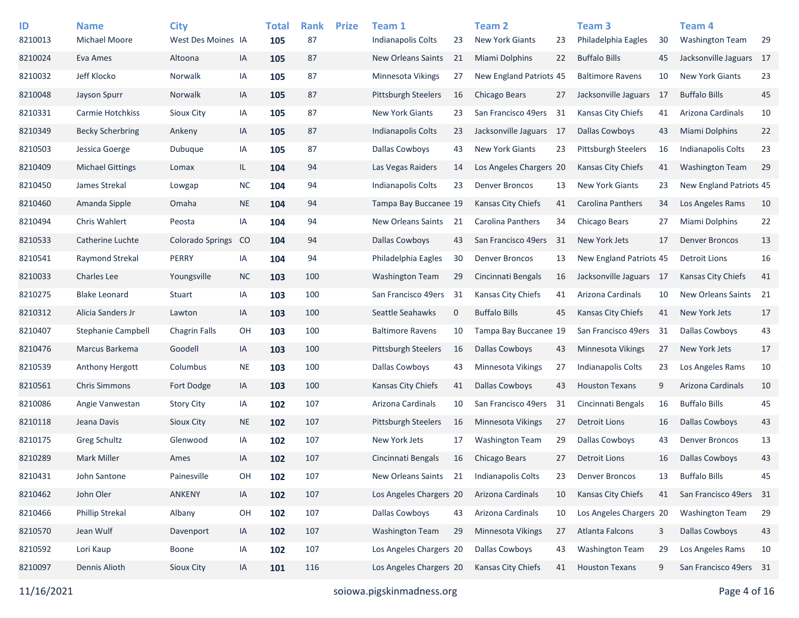| ID<br>8210013 | <b>Name</b><br><b>Michael Moore</b> | <b>City</b><br>West Des Moines IA |           | <b>Total</b><br>105 | <b>Rank</b><br>87 | <b>Prize</b> | Team 1<br><b>Indianapolis Colts</b> | 23          | <b>Team 2</b><br><b>New York Giants</b> | 23 | <b>Team 3</b><br>Philadelphia Eagles | 30  | Team 4<br><b>Washington Team</b> | 29 |
|---------------|-------------------------------------|-----------------------------------|-----------|---------------------|-------------------|--------------|-------------------------------------|-------------|-----------------------------------------|----|--------------------------------------|-----|----------------------------------|----|
| 8210024       | Eva Ames                            | Altoona                           | IA        | 105                 | 87                |              | New Orleans Saints                  | 21          | <b>Miami Dolphins</b>                   | 22 | <b>Buffalo Bills</b>                 | 45  | Jacksonville Jaguars 17          |    |
| 8210032       | Jeff Klocko                         | Norwalk                           | IA        | 105                 | 87                |              | Minnesota Vikings                   | 27          | New England Patriots 45                 |    | <b>Baltimore Ravens</b>              | 10  | <b>New York Giants</b>           | 23 |
| 8210048       | Jayson Spurr                        | Norwalk                           | IA        | 105                 | 87                |              | <b>Pittsburgh Steelers</b>          | 16          | Chicago Bears                           | 27 | Jacksonville Jaguars                 | -17 | <b>Buffalo Bills</b>             | 45 |
| 8210331       | Carmie Hotchkiss                    | Sioux City                        | IA        | 105                 | 87                |              | <b>New York Giants</b>              | 23          | San Francisco 49ers                     | 31 | Kansas City Chiefs                   | 41  | Arizona Cardinals                | 10 |
| 8210349       | <b>Becky Scherbring</b>             | Ankeny                            | IA        | 105                 | 87                |              | Indianapolis Colts                  | 23          | Jacksonville Jaguars 17                 |    | <b>Dallas Cowboys</b>                | 43  | Miami Dolphins                   | 22 |
| 8210503       | Jessica Goerge                      | Dubuque                           | IA        | 105                 | 87                |              | Dallas Cowboys                      | 43          | <b>New York Giants</b>                  | 23 | <b>Pittsburgh Steelers</b>           | 16  | <b>Indianapolis Colts</b>        | 23 |
| 8210409       | <b>Michael Gittings</b>             | Lomax                             | IL.       | 104                 | 94                |              | Las Vegas Raiders                   | 14          | Los Angeles Chargers 20                 |    | <b>Kansas City Chiefs</b>            | 41  | <b>Washington Team</b>           | 29 |
| 8210450       | James Strekal                       | Lowgap                            | <b>NC</b> | 104                 | 94                |              | <b>Indianapolis Colts</b>           | 23          | <b>Denver Broncos</b>                   | 13 | <b>New York Giants</b>               | 23  | New England Patriots 45          |    |
| 8210460       | Amanda Sipple                       | Omaha                             | <b>NE</b> | 104                 | 94                |              | Tampa Bay Buccanee 19               |             | <b>Kansas City Chiefs</b>               | 41 | <b>Carolina Panthers</b>             | 34  | Los Angeles Rams                 | 10 |
| 8210494       | Chris Wahlert                       | Peosta                            | IA        | 104                 | 94                |              | <b>New Orleans Saints</b>           | 21          | Carolina Panthers                       | 34 | Chicago Bears                        | 27  | Miami Dolphins                   | 22 |
| 8210533       | Catherine Luchte                    | <b>Colorado Springs</b>           | CO        | 104                 | 94                |              | <b>Dallas Cowboys</b>               | 43          | San Francisco 49ers                     | 31 | New York Jets                        | 17  | <b>Denver Broncos</b>            | 13 |
| 8210541       | Raymond Strekal                     | PERRY                             | IA        | 104                 | 94                |              | Philadelphia Eagles                 | 30          | <b>Denver Broncos</b>                   | 13 | New England Patriots 45              |     | <b>Detroit Lions</b>             | 16 |
| 8210033       | <b>Charles Lee</b>                  | Youngsville                       | <b>NC</b> | 103                 | 100               |              | <b>Washington Team</b>              | 29          | Cincinnati Bengals                      | 16 | Jacksonville Jaguars 17              |     | Kansas City Chiefs               | 41 |
| 8210275       | <b>Blake Leonard</b>                | Stuart                            | IA        | 103                 | 100               |              | San Francisco 49ers                 | 31          | <b>Kansas City Chiefs</b>               | 41 | Arizona Cardinals                    | 10  | New Orleans Saints               | 21 |
| 8210312       | Alicia Sanders Jr                   | Lawton                            | IA        | 103                 | 100               |              | Seattle Seahawks                    | $\mathbf 0$ | <b>Buffalo Bills</b>                    | 45 | Kansas City Chiefs                   | 41  | New York Jets                    | 17 |
| 8210407       | <b>Stephanie Campbell</b>           | <b>Chagrin Falls</b>              | OH        | 103                 | 100               |              | <b>Baltimore Ravens</b>             | 10          | Tampa Bay Buccanee 19                   |    | San Francisco 49ers                  | 31  | <b>Dallas Cowboys</b>            | 43 |
| 8210476       | Marcus Barkema                      | Goodell                           | IA        | 103                 | 100               |              | <b>Pittsburgh Steelers</b>          | 16          | <b>Dallas Cowboys</b>                   | 43 | <b>Minnesota Vikings</b>             | 27  | New York Jets                    | 17 |
| 8210539       | <b>Anthony Hergott</b>              | Columbus                          | <b>NE</b> | 103                 | 100               |              | <b>Dallas Cowboys</b>               | 43          | Minnesota Vikings                       | 27 | Indianapolis Colts                   | 23  | Los Angeles Rams                 | 10 |
| 8210561       | <b>Chris Simmons</b>                | Fort Dodge                        | IA        | 103                 | 100               |              | Kansas City Chiefs                  | 41          | <b>Dallas Cowboys</b>                   | 43 | <b>Houston Texans</b>                | 9   | Arizona Cardinals                | 10 |
| 8210086       | Angie Vanwestan                     | <b>Story City</b>                 | IA        | 102                 | 107               |              | Arizona Cardinals                   | 10          | San Francisco 49ers                     | 31 | Cincinnati Bengals                   | 16  | <b>Buffalo Bills</b>             | 45 |
| 8210118       | Jeana Davis                         | Sioux City                        | <b>NE</b> | 102                 | 107               |              | <b>Pittsburgh Steelers</b>          | 16          | Minnesota Vikings                       | 27 | <b>Detroit Lions</b>                 | 16  | <b>Dallas Cowboys</b>            | 43 |
| 8210175       | Greg Schultz                        | Glenwood                          | IA        | 102                 | 107               |              | New York Jets                       | 17          | <b>Washington Team</b>                  | 29 | <b>Dallas Cowboys</b>                | 43  | <b>Denver Broncos</b>            | 13 |
| 8210289       | <b>Mark Miller</b>                  | Ames                              | IA        | 102                 | 107               |              | Cincinnati Bengals                  | 16          | Chicago Bears                           | 27 | <b>Detroit Lions</b>                 | 16  | <b>Dallas Cowboys</b>            | 43 |
| 8210431       | John Santone                        | Painesville                       | OH        | 102                 | 107               |              | New Orleans Saints                  | 21          | <b>Indianapolis Colts</b>               | 23 | <b>Denver Broncos</b>                | 13  | <b>Buffalo Bills</b>             | 45 |
| 8210462       | John Oler                           | ANKENY                            | IA        | 102                 | 107               |              | Los Angeles Chargers 20             |             | Arizona Cardinals                       | 10 | Kansas City Chiefs                   | 41  | San Francisco 49ers 31           |    |
| 8210466       | Phillip Strekal                     | Albany                            | OH        | 102                 | 107               |              | Dallas Cowboys                      | 43          | Arizona Cardinals                       | 10 | Los Angeles Chargers 20              |     | <b>Washington Team</b>           | 29 |
| 8210570       | Jean Wulf                           | Davenport                         | IA        | 102                 | 107               |              | <b>Washington Team</b>              | 29          | Minnesota Vikings                       | 27 | Atlanta Falcons                      | 3   | <b>Dallas Cowboys</b>            | 43 |
| 8210592       | Lori Kaup                           | Boone                             | IA        | 102                 | 107               |              | Los Angeles Chargers 20             |             | <b>Dallas Cowboys</b>                   | 43 | <b>Washington Team</b>               | 29  | Los Angeles Rams                 | 10 |
| 8210097       | Dennis Alioth                       | Sioux City                        | IA        | 101                 | 116               |              | Los Angeles Chargers 20             |             | Kansas City Chiefs                      | 41 | <b>Houston Texans</b>                | 9   | San Francisco 49ers 31           |    |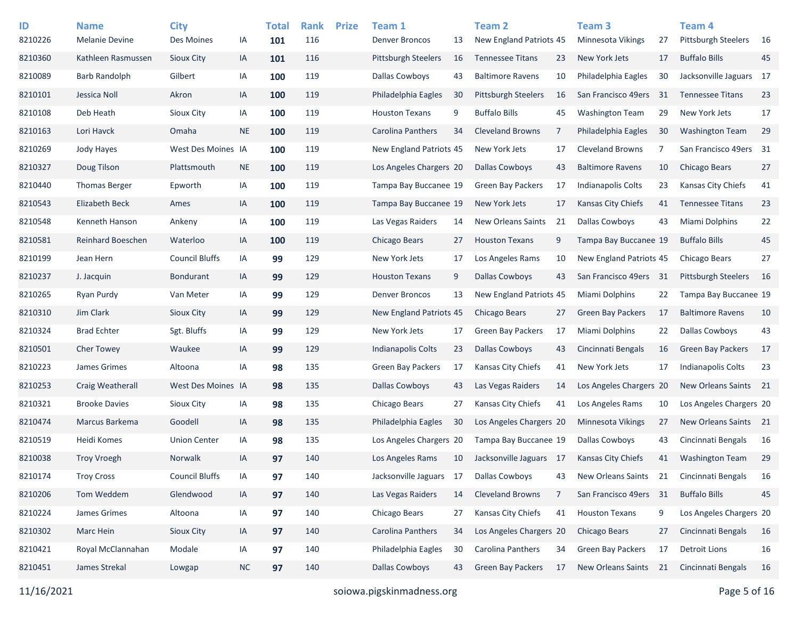| ID      | <b>Name</b>           | <b>City</b>           |           | <b>Total</b> | <b>Rank</b> | <b>Prize</b> | Team 1                   |    | <b>Team 2</b>              |                | Team <sub>3</sub>        |      | Team 4                     |    |
|---------|-----------------------|-----------------------|-----------|--------------|-------------|--------------|--------------------------|----|----------------------------|----------------|--------------------------|------|----------------------------|----|
| 8210226 | Melanie Devine        | Des Moines            | ΙA        | 101          | 116         |              | <b>Denver Broncos</b>    | 13 | New England Patriots 45    |                | <b>Minnesota Vikings</b> | 27   | <b>Pittsburgh Steelers</b> | 16 |
| 8210360 | Kathleen Rasmussen    | Sioux City            | IA        | 101          | 116         |              | Pittsburgh Steelers      | 16 | <b>Tennessee Titans</b>    | 23             | New York Jets            | 17   | <b>Buffalo Bills</b>       | 45 |
| 8210089 | Barb Randolph         | Gilbert               | IA        | 100          | 119         |              | Dallas Cowboys           | 43 | <b>Baltimore Ravens</b>    | 10             | Philadelphia Eagles      | 30   | Jacksonville Jaguars 17    |    |
| 8210101 | Jessica Noll          | Akron                 | IA        | 100          | 119         |              | Philadelphia Eagles      | 30 | <b>Pittsburgh Steelers</b> | 16             | San Francisco 49ers      | 31   | <b>Tennessee Titans</b>    | 23 |
| 8210108 | Deb Heath             | <b>Sioux City</b>     | IA        | 100          | 119         |              | <b>Houston Texans</b>    | 9  | <b>Buffalo Bills</b>       | 45             | <b>Washington Team</b>   | 29   | New York Jets              | 17 |
| 8210163 | Lori Havck            | Omaha                 | <b>NE</b> | 100          | 119         |              | Carolina Panthers        | 34 | <b>Cleveland Browns</b>    | $\overline{7}$ | Philadelphia Eagles      | 30   | <b>Washington Team</b>     | 29 |
| 8210269 | Jody Hayes            | West Des Moines IA    |           | 100          | 119         |              | New England Patriots 45  |    | New York Jets              | 17             | <b>Cleveland Browns</b>  | 7    | San Francisco 49ers 31     |    |
| 8210327 | Doug Tilson           | Plattsmouth           | <b>NE</b> | 100          | 119         |              | Los Angeles Chargers 20  |    | <b>Dallas Cowboys</b>      | 43             | <b>Baltimore Ravens</b>  | 10   | <b>Chicago Bears</b>       | 27 |
| 8210440 | <b>Thomas Berger</b>  | Epworth               | ΙA        | 100          | 119         |              | Tampa Bay Buccanee 19    |    | <b>Green Bay Packers</b>   | 17             | Indianapolis Colts       | 23   | Kansas City Chiefs         | 41 |
| 8210543 | <b>Elizabeth Beck</b> | Ames                  | IA        | 100          | 119         |              | Tampa Bay Buccanee 19    |    | New York Jets              | 17             | Kansas City Chiefs       | 41   | <b>Tennessee Titans</b>    | 23 |
| 8210548 | Kenneth Hanson        | Ankeny                | IA        | 100          | 119         |              | Las Vegas Raiders        | 14 | <b>New Orleans Saints</b>  | 21             | <b>Dallas Cowboys</b>    | 43   | Miami Dolphins             | 22 |
| 8210581 | Reinhard Boeschen     | Waterloo              | IA        | 100          | 119         |              | Chicago Bears            | 27 | <b>Houston Texans</b>      | 9              | Tampa Bay Buccanee 19    |      | <b>Buffalo Bills</b>       | 45 |
| 8210199 | Jean Hern             | <b>Council Bluffs</b> | ΙA        | 99           | 129         |              | New York Jets            | 17 | Los Angeles Rams           | 10             | New England Patriots 45  |      | Chicago Bears              | 27 |
| 8210237 | J. Jacquin            | <b>Bondurant</b>      | IA        | 99           | 129         |              | <b>Houston Texans</b>    | 9  | <b>Dallas Cowboys</b>      | 43             | San Francisco 49ers      | - 31 | <b>Pittsburgh Steelers</b> | 16 |
| 8210265 | Ryan Purdy            | Van Meter             | IA        | 99           | 129         |              | <b>Denver Broncos</b>    | 13 | New England Patriots 45    |                | <b>Miami Dolphins</b>    | 22   | Tampa Bay Buccanee 19      |    |
| 8210310 | Jim Clark             | Sioux City            | IA        | 99           | 129         |              | New England Patriots 45  |    | Chicago Bears              | 27             | Green Bay Packers        | 17   | <b>Baltimore Ravens</b>    | 10 |
| 8210324 | <b>Brad Echter</b>    | Sgt. Bluffs           | ΙA        | 99           | 129         |              | New York Jets            | 17 | <b>Green Bay Packers</b>   | 17             | Miami Dolphins           | 22   | <b>Dallas Cowboys</b>      | 43 |
| 8210501 | <b>Cher Towey</b>     | Waukee                | IA        | 99           | 129         |              | Indianapolis Colts       | 23 | <b>Dallas Cowboys</b>      | 43             | Cincinnati Bengals       | 16   | <b>Green Bay Packers</b>   | 17 |
| 8210223 | James Grimes          | Altoona               | ΙA        | 98           | 135         |              | <b>Green Bay Packers</b> | 17 | Kansas City Chiefs         | 41             | New York Jets            | 17   | Indianapolis Colts         | 23 |
| 8210253 | Craig Weatherall      | West Des Moines IA    |           | 98           | 135         |              | <b>Dallas Cowboys</b>    | 43 | Las Vegas Raiders          | 14             | Los Angeles Chargers 20  |      | New Orleans Saints 21      |    |
| 8210321 | <b>Brooke Davies</b>  | <b>Sioux City</b>     | IA        | 98           | 135         |              | Chicago Bears            | 27 | Kansas City Chiefs         | 41             | Los Angeles Rams         | 10   | Los Angeles Chargers 20    |    |
| 8210474 | Marcus Barkema        | Goodell               | IA        | 98           | 135         |              | Philadelphia Eagles      | 30 | Los Angeles Chargers 20    |                | <b>Minnesota Vikings</b> | 27   | New Orleans Saints 21      |    |
| 8210519 | Heidi Komes           | <b>Union Center</b>   | ΙA        | 98           | 135         |              | Los Angeles Chargers 20  |    | Tampa Bay Buccanee 19      |                | Dallas Cowboys           | 43   | Cincinnati Bengals         | 16 |
| 8210038 | <b>Troy Vroegh</b>    | <b>Norwalk</b>        | IA        | 97           | 140         |              | Los Angeles Rams         | 10 | Jacksonville Jaguars 17    |                | Kansas City Chiefs       | 41   | Washington Team            | 29 |
| 8210174 | <b>Troy Cross</b>     | <b>Council Bluffs</b> | ΙA        | 97           | 140         |              | Jacksonville Jaguars     | 17 | <b>Dallas Cowboys</b>      | 43             | New Orleans Saints       | 21   | Cincinnati Bengals         | 16 |
| 8210206 | Tom Weddem            | Glendwood             | IA        | 97           | 140         |              | Las Vegas Raiders        | 14 | <b>Cleveland Browns</b>    | 7              | San Francisco 49ers 31   |      | <b>Buffalo Bills</b>       | 45 |
| 8210224 | James Grimes          | Altoona               | IA        | 97           | 140         |              | Chicago Bears            | 27 | Kansas City Chiefs         | 41             | <b>Houston Texans</b>    | 9    | Los Angeles Chargers 20    |    |
| 8210302 | Marc Hein             | Sioux City            | IA        | 97           | 140         |              | Carolina Panthers        | 34 | Los Angeles Chargers 20    |                | Chicago Bears            | 27   | Cincinnati Bengals         | 16 |
| 8210421 | Royal McClannahan     | Modale                | IA        | 97           | 140         |              | Philadelphia Eagles      | 30 | Carolina Panthers          | 34             | <b>Green Bay Packers</b> | 17   | <b>Detroit Lions</b>       | 16 |
| 8210451 | James Strekal         | Lowgap                | $NC$      | 97           | 140         |              | <b>Dallas Cowboys</b>    | 43 | <b>Green Bay Packers</b>   | 17             | New Orleans Saints       | 21   | Cincinnati Bengals         | 16 |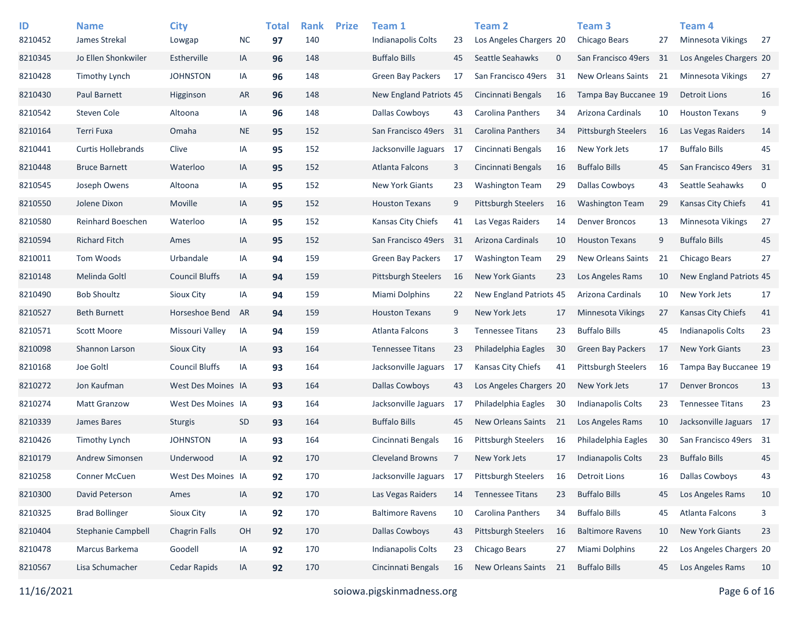| ID      | <b>Name</b>               | <b>City</b>           |           | <b>Total</b> | <b>Rank</b> | <b>Prize</b> | Team 1                    |                | <b>Team 2</b>              |    | Team 3                     |     | <b>Team 4</b>             |      |
|---------|---------------------------|-----------------------|-----------|--------------|-------------|--------------|---------------------------|----------------|----------------------------|----|----------------------------|-----|---------------------------|------|
| 8210452 | James Strekal             | Lowgap                | <b>NC</b> | 97           | 140         |              | Indianapolis Colts        | 23             | Los Angeles Chargers 20    |    | Chicago Bears              | 27  | <b>Minnesota Vikings</b>  | 27   |
| 8210345 | Jo Ellen Shonkwiler       | Estherville           | IA        | 96           | 148         |              | <b>Buffalo Bills</b>      | 45             | Seattle Seahawks           | 0  | San Francisco 49ers        | -31 | Los Angeles Chargers 20   |      |
| 8210428 | <b>Timothy Lynch</b>      | <b>JOHNSTON</b>       | IA        | 96           | 148         |              | <b>Green Bay Packers</b>  | 17             | San Francisco 49ers        | 31 | New Orleans Saints         | 21  | Minnesota Vikings         | 27   |
| 8210430 | Paul Barnett              | Higginson             | <b>AR</b> | 96           | 148         |              | New England Patriots 45   |                | Cincinnati Bengals         | 16 | Tampa Bay Buccanee 19      |     | <b>Detroit Lions</b>      | 16   |
| 8210542 | Steven Cole               | Altoona               | IA        | 96           | 148         |              | Dallas Cowboys            | 43             | Carolina Panthers          | 34 | Arizona Cardinals          | 10  | <b>Houston Texans</b>     | 9    |
| 8210164 | <b>Terri Fuxa</b>         | Omaha                 | <b>NE</b> | 95           | 152         |              | San Francisco 49ers       | 31             | Carolina Panthers          | 34 | <b>Pittsburgh Steelers</b> | 16  | Las Vegas Raiders         | 14   |
| 8210441 | <b>Curtis Hollebrands</b> | Clive                 | IA        | 95           | 152         |              | Jacksonville Jaguars      | 17             | Cincinnati Bengals         | 16 | New York Jets              | 17  | <b>Buffalo Bills</b>      | 45   |
| 8210448 | <b>Bruce Barnett</b>      | Waterloo              | IA        | 95           | 152         |              | Atlanta Falcons           | 3              | Cincinnati Bengals         | 16 | <b>Buffalo Bills</b>       | 45  | San Francisco 49ers       | - 31 |
| 8210545 | Joseph Owens              | Altoona               | IA        | 95           | 152         |              | <b>New York Giants</b>    | 23             | <b>Washington Team</b>     | 29 | <b>Dallas Cowboys</b>      | 43  | Seattle Seahawks          | 0    |
| 8210550 | Jolene Dixon              | Moville               | IA        | 95           | 152         |              | <b>Houston Texans</b>     | 9              | <b>Pittsburgh Steelers</b> | 16 | <b>Washington Team</b>     | 29  | <b>Kansas City Chiefs</b> | 41   |
| 8210580 | <b>Reinhard Boeschen</b>  | Waterloo              | IA        | 95           | 152         |              | Kansas City Chiefs        | 41             | Las Vegas Raiders          | 14 | <b>Denver Broncos</b>      | 13  | <b>Minnesota Vikings</b>  | 27   |
| 8210594 | <b>Richard Fitch</b>      | Ames                  | IA        | 95           | 152         |              | San Francisco 49ers       | 31             | Arizona Cardinals          | 10 | <b>Houston Texans</b>      | 9   | <b>Buffalo Bills</b>      | 45   |
| 8210011 | Tom Woods                 | Urbandale             | IA        | 94           | 159         |              | <b>Green Bay Packers</b>  | 17             | <b>Washington Team</b>     | 29 | <b>New Orleans Saints</b>  | 21  | Chicago Bears             | 27   |
| 8210148 | Melinda Goltl             | <b>Council Bluffs</b> | IA        | 94           | 159         |              | Pittsburgh Steelers       | 16             | <b>New York Giants</b>     | 23 | Los Angeles Rams           | 10  | New England Patriots 45   |      |
| 8210490 | <b>Bob Shoultz</b>        | Sioux City            | IA        | 94           | 159         |              | Miami Dolphins            | 22             | New England Patriots 45    |    | Arizona Cardinals          | 10  | New York Jets             | 17   |
| 8210527 | <b>Beth Burnett</b>       | Horseshoe Bend        | AR        | 94           | 159         |              | <b>Houston Texans</b>     | 9              | New York Jets              | 17 | Minnesota Vikings          | 27  | <b>Kansas City Chiefs</b> | 41   |
| 8210571 | Scott Moore               | Missouri Valley       | IA        | 94           | 159         |              | Atlanta Falcons           | 3              | <b>Tennessee Titans</b>    | 23 | <b>Buffalo Bills</b>       | 45  | <b>Indianapolis Colts</b> | 23   |
| 8210098 | Shannon Larson            | Sioux City            | IA        | 93           | 164         |              | <b>Tennessee Titans</b>   | 23             | Philadelphia Eagles        | 30 | <b>Green Bay Packers</b>   | 17  | <b>New York Giants</b>    | 23   |
| 8210168 | Joe Goltl                 | <b>Council Bluffs</b> | IA        | 93           | 164         |              | Jacksonville Jaguars      | 17             | Kansas City Chiefs         | 41 | <b>Pittsburgh Steelers</b> | 16  | Tampa Bay Buccanee 19     |      |
| 8210272 | Jon Kaufman               | West Des Moines IA    |           | 93           | 164         |              | <b>Dallas Cowboys</b>     | 43             | Los Angeles Chargers 20    |    | New York Jets              | 17  | <b>Denver Broncos</b>     | 13   |
| 8210274 | <b>Matt Granzow</b>       | West Des Moines IA    |           | 93           | 164         |              | Jacksonville Jaguars      | 17             | Philadelphia Eagles        | 30 | Indianapolis Colts         | 23  | <b>Tennessee Titans</b>   | 23   |
| 8210339 | <b>James Bares</b>        | <b>Sturgis</b>        | <b>SD</b> | 93           | 164         |              | <b>Buffalo Bills</b>      | 45             | <b>New Orleans Saints</b>  | 21 | Los Angeles Rams           | 10  | Jacksonville Jaguars 17   |      |
| 8210426 | Timothy Lynch             | <b>JOHNSTON</b>       | IA        | 93           | 164         |              | Cincinnati Bengals        | 16             | <b>Pittsburgh Steelers</b> | 16 | Philadelphia Eagles        | 30  | San Francisco 49ers 31    |      |
| 8210179 | <b>Andrew Simonsen</b>    | Underwood             | IA        | 92           | 170         |              | <b>Cleveland Browns</b>   | $\overline{7}$ | <b>New York Jets</b>       | 17 | Indianapolis Colts         | 23  | <b>Buffalo Bills</b>      | 45   |
| 8210258 | <b>Conner McCuen</b>      | West Des Moines IA    |           | 92           | 170         |              | Jacksonville Jaguars      | 17             | Pittsburgh Steelers        | 16 | <b>Detroit Lions</b>       | 16  | <b>Dallas Cowboys</b>     | 43   |
| 8210300 | David Peterson            | Ames                  | IA        | 92           | 170         |              | Las Vegas Raiders         | 14             | <b>Tennessee Titans</b>    | 23 | <b>Buffalo Bills</b>       | 45  | Los Angeles Rams          | 10   |
| 8210325 | <b>Brad Bollinger</b>     | Sioux City            | IA        | 92           | 170         |              | <b>Baltimore Ravens</b>   | 10             | Carolina Panthers          | 34 | <b>Buffalo Bills</b>       | 45  | Atlanta Falcons           | 3    |
| 8210404 | <b>Stephanie Campbell</b> | <b>Chagrin Falls</b>  | OH        | 92           | 170         |              | <b>Dallas Cowboys</b>     | 43             | Pittsburgh Steelers        | 16 | <b>Baltimore Ravens</b>    | 10  | New York Giants           | 23   |
| 8210478 | Marcus Barkema            | Goodell               | IA        | 92           | 170         |              | <b>Indianapolis Colts</b> | 23             | Chicago Bears              | 27 | Miami Dolphins             | 22  | Los Angeles Chargers 20   |      |
| 8210567 | Lisa Schumacher           | Cedar Rapids          | IA        | 92           | 170         |              | Cincinnati Bengals        | 16             | New Orleans Saints         | 21 | <b>Buffalo Bills</b>       | 45  | Los Angeles Rams          | 10   |
|         |                           |                       |           |              |             |              |                           |                |                            |    |                            |     |                           |      |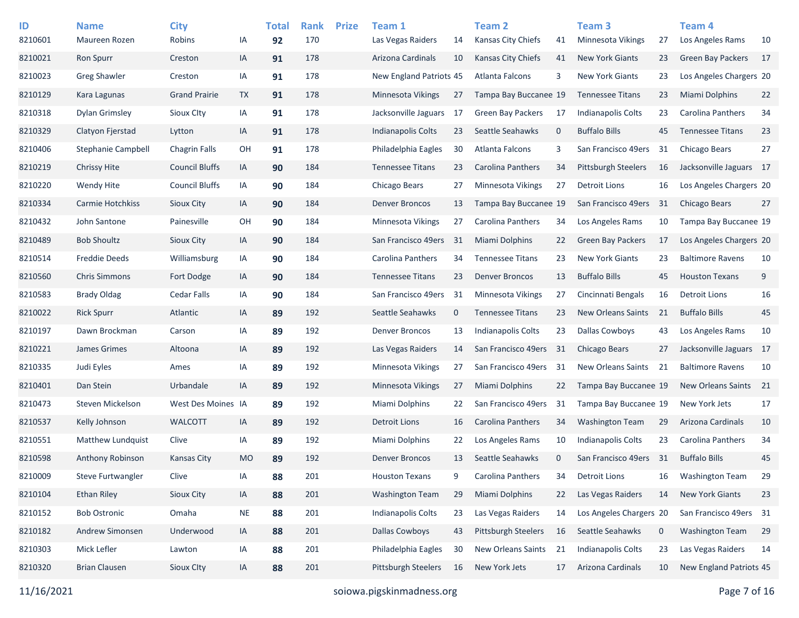| ID<br>8210601 | <b>Name</b><br>Maureen Rozen | <b>City</b><br>Robins | IA        | <b>Total</b><br>92 | <b>Rank</b><br>170 | <b>Prize</b> | Team 1<br>Las Vegas Raiders | 14          | Team <sub>2</sub><br><b>Kansas City Chiefs</b> | 41           | Team 3<br><b>Minnesota Vikings</b> | 27          | Team <sub>4</sub><br>Los Angeles Rams | 10 |
|---------------|------------------------------|-----------------------|-----------|--------------------|--------------------|--------------|-----------------------------|-------------|------------------------------------------------|--------------|------------------------------------|-------------|---------------------------------------|----|
| 8210021       | Ron Spurr                    | Creston               | IA        | 91                 | 178                |              | Arizona Cardinals           | 10          | <b>Kansas City Chiefs</b>                      | 41           | <b>New York Giants</b>             | 23          | <b>Green Bay Packers</b>              | 17 |
| 8210023       | <b>Greg Shawler</b>          | Creston               | IA        | 91                 | 178                |              | New England Patriots 45     |             | Atlanta Falcons                                | 3            | <b>New York Giants</b>             | 23          | Los Angeles Chargers 20               |    |
| 8210129       | Kara Lagunas                 | <b>Grand Prairie</b>  | <b>TX</b> | 91                 | 178                |              | Minnesota Vikings           | 27          | Tampa Bay Buccanee 19                          |              | <b>Tennessee Titans</b>            | 23          | Miami Dolphins                        | 22 |
| 8210318       | <b>Dylan Grimsley</b>        | Sioux Clty            | IA        | 91                 | 178                |              | Jacksonville Jaguars        | 17          | <b>Green Bay Packers</b>                       | 17           | <b>Indianapolis Colts</b>          | 23          | Carolina Panthers                     | 34 |
| 8210329       | Clatyon Fierstad             | Lytton                | IA        | 91                 | 178                |              | <b>Indianapolis Colts</b>   | 23          | Seattle Seahawks                               | $\mathbf 0$  | <b>Buffalo Bills</b>               | 45          | <b>Tennessee Titans</b>               | 23 |
| 8210406       | <b>Stephanie Campbell</b>    | <b>Chagrin Falls</b>  | OH        | 91                 | 178                |              | Philadelphia Eagles         | 30          | Atlanta Falcons                                | 3            | San Francisco 49ers                | 31          | <b>Chicago Bears</b>                  | 27 |
| 8210219       | <b>Chrissy Hite</b>          | <b>Council Bluffs</b> | IA        | 90                 | 184                |              | <b>Tennessee Titans</b>     | 23          | Carolina Panthers                              | 34           | <b>Pittsburgh Steelers</b>         | 16          | Jacksonville Jaguars 17               |    |
| 8210220       | Wendy Hite                   | <b>Council Bluffs</b> | IA        | 90                 | 184                |              | Chicago Bears               | 27          | Minnesota Vikings                              | 27           | <b>Detroit Lions</b>               | 16          | Los Angeles Chargers 20               |    |
| 8210334       | Carmie Hotchkiss             | <b>Sioux City</b>     | IA        | 90                 | 184                |              | <b>Denver Broncos</b>       | 13          | Tampa Bay Buccanee 19                          |              | San Francisco 49ers                | 31          | <b>Chicago Bears</b>                  | 27 |
| 8210432       | John Santone                 | Painesville           | OH        | 90                 | 184                |              | Minnesota Vikings           | 27          | Carolina Panthers                              | 34           | Los Angeles Rams                   | 10          | Tampa Bay Buccanee 19                 |    |
| 8210489       | <b>Bob Shoultz</b>           | <b>Sioux City</b>     | IA        | 90                 | 184                |              | San Francisco 49ers         | 31          | <b>Miami Dolphins</b>                          | 22           | <b>Green Bay Packers</b>           | 17          | Los Angeles Chargers 20               |    |
| 8210514       | <b>Freddie Deeds</b>         | Williamsburg          | IA        | 90                 | 184                |              | Carolina Panthers           | 34          | <b>Tennessee Titans</b>                        | 23           | <b>New York Giants</b>             | 23          | <b>Baltimore Ravens</b>               | 10 |
| 8210560       | <b>Chris Simmons</b>         | Fort Dodge            | IA        | 90                 | 184                |              | <b>Tennessee Titans</b>     | 23          | <b>Denver Broncos</b>                          | 13           | <b>Buffalo Bills</b>               | 45          | <b>Houston Texans</b>                 | 9  |
| 8210583       | <b>Brady Oldag</b>           | <b>Cedar Falls</b>    | IA        | 90                 | 184                |              | San Francisco 49ers         | 31          | Minnesota Vikings                              | 27           | Cincinnati Bengals                 | 16          | <b>Detroit Lions</b>                  | 16 |
| 8210022       | <b>Rick Spurr</b>            | Atlantic              | IA        | 89                 | 192                |              | Seattle Seahawks            | $\mathbf 0$ | <b>Tennessee Titans</b>                        | 23           | <b>New Orleans Saints</b>          | 21          | <b>Buffalo Bills</b>                  | 45 |
| 8210197       | Dawn Brockman                | Carson                | IA        | 89                 | 192                |              | <b>Denver Broncos</b>       | 13          | <b>Indianapolis Colts</b>                      | 23           | Dallas Cowboys                     | 43          | Los Angeles Rams                      | 10 |
| 8210221       | James Grimes                 | Altoona               | IA        | 89                 | 192                |              | Las Vegas Raiders           | 14          | San Francisco 49ers                            | 31           | Chicago Bears                      | 27          | Jacksonville Jaguars 17               |    |
| 8210335       | Judi Eyles                   | Ames                  | IA        | 89                 | 192                |              | Minnesota Vikings           | 27          | San Francisco 49ers                            | 31           | New Orleans Saints                 | 21          | <b>Baltimore Ravens</b>               | 10 |
| 8210401       | Dan Stein                    | Urbandale             | IA        | 89                 | 192                |              | Minnesota Vikings           | 27          | <b>Miami Dolphins</b>                          | 22           | Tampa Bay Buccanee 19              |             | New Orleans Saints                    | 21 |
| 8210473       | Steven Mickelson             | West Des Moines IA    |           | 89                 | 192                |              | Miami Dolphins              | 22          | San Francisco 49ers                            | 31           | Tampa Bay Buccanee 19              |             | New York Jets                         | 17 |
| 8210537       | Kelly Johnson                | <b>WALCOTT</b>        | IA        | 89                 | 192                |              | <b>Detroit Lions</b>        | 16          | Carolina Panthers                              | 34           | <b>Washington Team</b>             | 29          | Arizona Cardinals                     | 10 |
| 8210551       | Matthew Lundquist            | Clive                 | IA        | 89                 | 192                |              | Miami Dolphins              | 22          | Los Angeles Rams                               | 10           | <b>Indianapolis Colts</b>          | 23          | Carolina Panthers                     | 34 |
| 8210598       | <b>Anthony Robinson</b>      | Kansas City           | <b>MO</b> | 89                 | 192                |              | <b>Denver Broncos</b>       | 13          | Seattle Seahawks                               | $\mathbf{0}$ | San Francisco 49ers                | 31          | <b>Buffalo Bills</b>                  | 45 |
| 8210009       | <b>Steve Furtwangler</b>     | Clive                 | IA        | 88                 | 201                |              | <b>Houston Texans</b>       | 9           | Carolina Panthers                              | 34           | <b>Detroit Lions</b>               | 16          | <b>Washington Team</b>                | 29 |
| 8210104       | <b>Ethan Riley</b>           | Sioux City            | IA        | 88                 | 201                |              | <b>Washington Team</b>      | 29          | Miami Dolphins                                 | 22           | Las Vegas Raiders                  | 14          | <b>New York Giants</b>                | 23 |
| 8210152       | <b>Bob Ostronic</b>          | Omaha                 | <b>NE</b> | 88                 | 201                |              | Indianapolis Colts          | 23          | Las Vegas Raiders                              | 14           | Los Angeles Chargers 20            |             | San Francisco 49ers 31                |    |
| 8210182       | Andrew Simonsen              | Underwood             | IA        | 88                 | 201                |              | <b>Dallas Cowboys</b>       | 43          | Pittsburgh Steelers                            | 16           | Seattle Seahawks                   | $\mathbf 0$ | <b>Washington Team</b>                | 29 |
| 8210303       | Mick Lefler                  | Lawton                | IA        | 88                 | 201                |              | Philadelphia Eagles         | 30          | New Orleans Saints                             | 21           | Indianapolis Colts                 | 23          | Las Vegas Raiders                     | 14 |
| 8210320       | <b>Brian Clausen</b>         | Sioux Clty            | IA        | 88                 | 201                |              | Pittsburgh Steelers         | 16          | New York Jets                                  | 17           | Arizona Cardinals                  | 10          | New England Patriots 45               |    |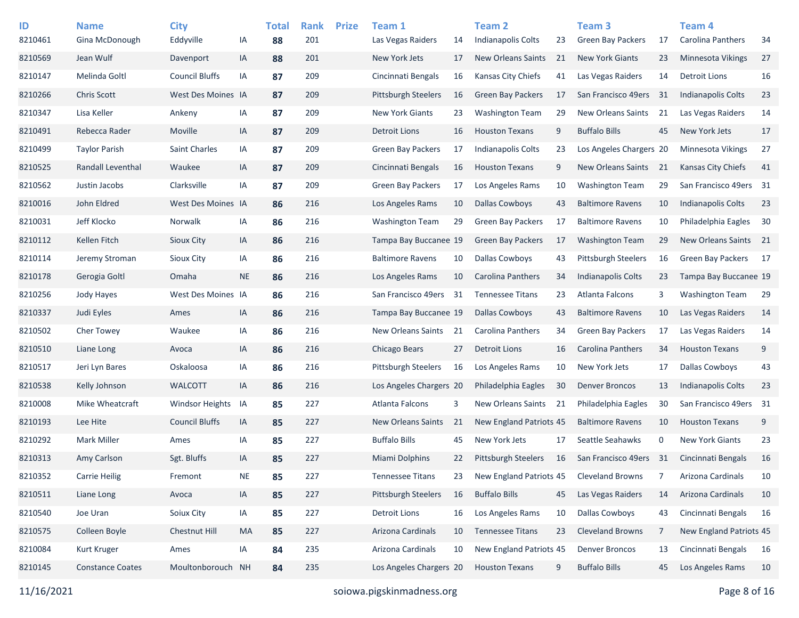| ID<br>8210461 | <b>Name</b><br>Gina McDonough | <b>City</b><br>Eddyville | IA        | <b>Total</b><br>88 | <b>Rank</b><br>201 | <b>Prize</b> | Team 1<br>Las Vegas Raiders | 14 | Team <sub>2</sub><br>Indianapolis Colts | 23 | Team <sub>3</sub><br><b>Green Bay Packers</b> | 17  | Team 4<br>Carolina Panthers | 34 |
|---------------|-------------------------------|--------------------------|-----------|--------------------|--------------------|--------------|-----------------------------|----|-----------------------------------------|----|-----------------------------------------------|-----|-----------------------------|----|
| 8210569       | Jean Wulf                     | Davenport                | IA        | 88                 | 201                |              | New York Jets               | 17 | <b>New Orleans Saints</b>               | 21 | <b>New York Giants</b>                        | 23  | <b>Minnesota Vikings</b>    | 27 |
| 8210147       | Melinda Goltl                 | <b>Council Bluffs</b>    | IA        | 87                 | 209                |              | Cincinnati Bengals          | 16 | Kansas City Chiefs                      | 41 | Las Vegas Raiders                             | 14  | <b>Detroit Lions</b>        | 16 |
| 8210266       | <b>Chris Scott</b>            | West Des Moines IA       |           | 87                 | 209                |              | <b>Pittsburgh Steelers</b>  | 16 | <b>Green Bay Packers</b>                | 17 | San Francisco 49ers                           | -31 | <b>Indianapolis Colts</b>   | 23 |
| 8210347       | Lisa Keller                   | Ankeny                   | IA        | 87                 | 209                |              | New York Giants             | 23 | <b>Washington Team</b>                  | 29 | <b>New Orleans Saints</b>                     | 21  | Las Vegas Raiders           | 14 |
| 8210491       | Rebecca Rader                 | Moville                  | IA        | 87                 | 209                |              | <b>Detroit Lions</b>        | 16 | <b>Houston Texans</b>                   | 9  | <b>Buffalo Bills</b>                          | 45  | New York Jets               | 17 |
| 8210499       | <b>Taylor Parish</b>          | Saint Charles            | IA        | 87                 | 209                |              | <b>Green Bay Packers</b>    | 17 | <b>Indianapolis Colts</b>               | 23 | Los Angeles Chargers 20                       |     | <b>Minnesota Vikings</b>    | 27 |
| 8210525       | Randall Leventhal             | Waukee                   | IA        | 87                 | 209                |              | Cincinnati Bengals          | 16 | <b>Houston Texans</b>                   | 9  | New Orleans Saints                            | 21  | <b>Kansas City Chiefs</b>   | 41 |
| 8210562       | Justin Jacobs                 | Clarksville              | IA        | 87                 | 209                |              | <b>Green Bay Packers</b>    | 17 | Los Angeles Rams                        | 10 | <b>Washington Team</b>                        | 29  | San Francisco 49ers 31      |    |
| 8210016       | John Eldred                   | West Des Moines IA       |           | 86                 | 216                |              | Los Angeles Rams            | 10 | <b>Dallas Cowboys</b>                   | 43 | <b>Baltimore Ravens</b>                       | 10  | <b>Indianapolis Colts</b>   | 23 |
| 8210031       | Jeff Klocko                   | Norwalk                  | IA        | 86                 | 216                |              | <b>Washington Team</b>      | 29 | <b>Green Bay Packers</b>                | 17 | <b>Baltimore Ravens</b>                       | 10  | Philadelphia Eagles         | 30 |
| 8210112       | Kellen Fitch                  | Sioux City               | IA        | 86                 | 216                |              | Tampa Bay Buccanee 19       |    | Green Bay Packers                       | 17 | <b>Washington Team</b>                        | 29  | <b>New Orleans Saints</b>   | 21 |
| 8210114       | Jeremy Stroman                | <b>Sioux City</b>        | IA        | 86                 | 216                |              | <b>Baltimore Ravens</b>     | 10 | <b>Dallas Cowboys</b>                   | 43 | <b>Pittsburgh Steelers</b>                    | 16  | <b>Green Bay Packers</b>    | 17 |
| 8210178       | Gerogia Goltl                 | Omaha                    | <b>NE</b> | 86                 | 216                |              | Los Angeles Rams            | 10 | Carolina Panthers                       | 34 | Indianapolis Colts                            | 23  | Tampa Bay Buccanee 19       |    |
| 8210256       | Jody Hayes                    | West Des Moines IA       |           | 86                 | 216                |              | San Francisco 49ers         | 31 | <b>Tennessee Titans</b>                 | 23 | Atlanta Falcons                               | 3   | <b>Washington Team</b>      | 29 |
| 8210337       | Judi Eyles                    | Ames                     | IA        | 86                 | 216                |              | Tampa Bay Buccanee 19       |    | <b>Dallas Cowboys</b>                   | 43 | <b>Baltimore Ravens</b>                       | 10  | Las Vegas Raiders           | 14 |
| 8210502       | Cher Towey                    | Waukee                   | IA        | 86                 | 216                |              | New Orleans Saints          | 21 | Carolina Panthers                       | 34 | <b>Green Bay Packers</b>                      | 17  | Las Vegas Raiders           | 14 |
| 8210510       | Liane Long                    | Avoca                    | IA        | 86                 | 216                |              | Chicago Bears               | 27 | Detroit Lions                           | 16 | <b>Carolina Panthers</b>                      | 34  | <b>Houston Texans</b>       | 9  |
| 8210517       | Jeri Lyn Bares                | Oskaloosa                | IA        | 86                 | 216                |              | <b>Pittsburgh Steelers</b>  | 16 | Los Angeles Rams                        | 10 | New York Jets                                 | 17  | <b>Dallas Cowboys</b>       | 43 |
| 8210538       | Kelly Johnson                 | <b>WALCOTT</b>           | IA        | 86                 | 216                |              | Los Angeles Chargers 20     |    | Philadelphia Eagles                     | 30 | <b>Denver Broncos</b>                         | 13  | <b>Indianapolis Colts</b>   | 23 |
| 8210008       | Mike Wheatcraft               | <b>Windsor Heights</b>   | IA        | 85                 | 227                |              | Atlanta Falcons             | 3  | New Orleans Saints                      | 21 | Philadelphia Eagles                           | 30  | San Francisco 49ers 31      |    |
| 8210193       | Lee Hite                      | <b>Council Bluffs</b>    | IA        | 85                 | 227                |              | New Orleans Saints          | 21 | New England Patriots 45                 |    | <b>Baltimore Ravens</b>                       | 10  | <b>Houston Texans</b>       | 9  |
| 8210292       | <b>Mark Miller</b>            | Ames                     | IA        | 85                 | 227                |              | <b>Buffalo Bills</b>        | 45 | New York Jets                           | 17 | Seattle Seahawks                              | 0   | <b>New York Giants</b>      | 23 |
| 8210313       | Amy Carlson                   | Sgt. Bluffs              | IA        | 85                 | 227                |              | <b>Miami Dolphins</b>       | 22 | Pittsburgh Steelers                     | 16 | San Francisco 49ers                           | -31 | Cincinnati Bengals          | 16 |
| 8210352       | <b>Carrie Heilig</b>          | Fremont                  | <b>NE</b> | 85                 | 227                |              | <b>Tennessee Titans</b>     | 23 | New England Patriots 45                 |    | <b>Cleveland Browns</b>                       | 7   | Arizona Cardinals           | 10 |
| 8210511       | Liane Long                    | Avoca                    | IA        | 85                 | 227                |              | <b>Pittsburgh Steelers</b>  | 16 | <b>Buffalo Bills</b>                    | 45 | Las Vegas Raiders                             | 14  | Arizona Cardinals           | 10 |
| 8210540       | Joe Uran                      | Soiux City               | IA        | 85                 | 227                |              | <b>Detroit Lions</b>        | 16 | Los Angeles Rams                        | 10 | Dallas Cowboys                                | 43  | Cincinnati Bengals          | 16 |
| 8210575       | Colleen Boyle                 | Chestnut Hill            | MA        | 85                 | 227                |              | Arizona Cardinals           | 10 | <b>Tennessee Titans</b>                 | 23 | <b>Cleveland Browns</b>                       | 7   | New England Patriots 45     |    |
| 8210084       | Kurt Kruger                   | Ames                     | IA        | 84                 | 235                |              | Arizona Cardinals           | 10 | New England Patriots 45                 |    | <b>Denver Broncos</b>                         | 13  | Cincinnati Bengals          | 16 |
| 8210145       | <b>Constance Coates</b>       | Moultonborouch NH        |           | 84                 | 235                |              | Los Angeles Chargers 20     |    | <b>Houston Texans</b>                   | 9  | <b>Buffalo Bills</b>                          | 45  | Los Angeles Rams            | 10 |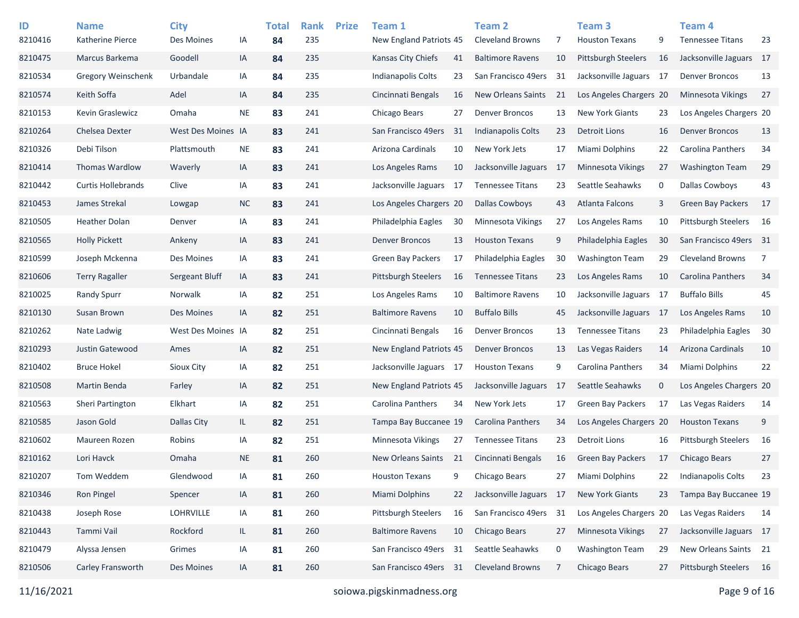| ID<br>8210416 | <b>Name</b><br>Katherine Pierce | <b>City</b><br>Des Moines | ΙA        | <b>Total</b><br>84 | <b>Rank</b><br>235 | <b>Prize</b> | Team 1<br>New England Patriots 45 |    | Team <sub>2</sub><br><b>Cleveland Browns</b> | 7   | Team <sub>3</sub><br><b>Houston Texans</b> | 9           | Team <sub>4</sub><br><b>Tennessee Titans</b> | 23             |
|---------------|---------------------------------|---------------------------|-----------|--------------------|--------------------|--------------|-----------------------------------|----|----------------------------------------------|-----|--------------------------------------------|-------------|----------------------------------------------|----------------|
| 8210475       | Marcus Barkema                  | Goodell                   | IA        | 84                 | 235                |              | Kansas City Chiefs                | 41 | <b>Baltimore Ravens</b>                      | 10  | Pittsburgh Steelers                        | 16          | Jacksonville Jaguars 17                      |                |
| 8210534       | <b>Gregory Weinschenk</b>       | Urbandale                 | IA        | 84                 | 235                |              | Indianapolis Colts                | 23 | San Francisco 49ers                          | 31  | Jacksonville Jaguars 17                    |             | <b>Denver Broncos</b>                        | 13             |
| 8210574       | Keith Soffa                     | Adel                      | IA        |                    | 235                |              | Cincinnati Bengals                | 16 | <b>New Orleans Saints</b>                    | 21  | Los Angeles Chargers 20                    |             | <b>Minnesota Vikings</b>                     | 27             |
|               |                                 |                           |           | 84                 |                    |              |                                   |    |                                              |     |                                            |             |                                              |                |
| 8210153       | Kevin Graslewicz                | Omaha                     | <b>NE</b> | 83                 | 241                |              | Chicago Bears                     | 27 | <b>Denver Broncos</b>                        | 13  | <b>New York Giants</b>                     | 23          | Los Angeles Chargers 20                      |                |
| 8210264       | Chelsea Dexter                  | West Des Moines IA        |           | 83                 | 241                |              | San Francisco 49ers               | 31 | <b>Indianapolis Colts</b>                    | 23  | <b>Detroit Lions</b>                       | 16          | <b>Denver Broncos</b>                        | 13             |
| 8210326       | Debi Tilson                     | Plattsmouth               | <b>NE</b> | 83                 | 241                |              | Arizona Cardinals                 | 10 | New York Jets                                | 17  | Miami Dolphins                             | 22          | Carolina Panthers                            | 34             |
| 8210414       | Thomas Wardlow                  | Waverly                   | IA        | 83                 | 241                |              | Los Angeles Rams                  | 10 | Jacksonville Jaguars                         | -17 | Minnesota Vikings                          | 27          | <b>Washington Team</b>                       | 29             |
| 8210442       | <b>Curtis Hollebrands</b>       | Clive                     | IA        | 83                 | 241                |              | Jacksonville Jaguars              | 17 | <b>Tennessee Titans</b>                      | 23  | Seattle Seahawks                           | 0           | <b>Dallas Cowboys</b>                        | 43             |
| 8210453       | James Strekal                   | Lowgap                    | $NC$      | 83                 | 241                |              | Los Angeles Chargers 20           |    | <b>Dallas Cowboys</b>                        | 43  | Atlanta Falcons                            | 3           | <b>Green Bay Packers</b>                     | 17             |
| 8210505       | <b>Heather Dolan</b>            | Denver                    | IA        | 83                 | 241                |              | Philadelphia Eagles               | 30 | Minnesota Vikings                            | 27  | Los Angeles Rams                           | 10          | <b>Pittsburgh Steelers</b>                   | 16             |
| 8210565       | <b>Holly Pickett</b>            | Ankeny                    | IA        | 83                 | 241                |              | <b>Denver Broncos</b>             | 13 | <b>Houston Texans</b>                        | 9   | Philadelphia Eagles                        | 30          | San Francisco 49ers 31                       |                |
| 8210599       | Joseph Mckenna                  | Des Moines                | IA        | 83                 | 241                |              | <b>Green Bay Packers</b>          | 17 | Philadelphia Eagles                          | 30  | <b>Washington Team</b>                     | 29          | <b>Cleveland Browns</b>                      | $\overline{7}$ |
| 8210606       | <b>Terry Ragaller</b>           | Sergeant Bluff            | IA        | 83                 | 241                |              | <b>Pittsburgh Steelers</b>        | 16 | <b>Tennessee Titans</b>                      | 23  | Los Angeles Rams                           | 10          | Carolina Panthers                            | 34             |
| 8210025       | <b>Randy Spurr</b>              | Norwalk                   | IA        | 82                 | 251                |              | Los Angeles Rams                  | 10 | <b>Baltimore Ravens</b>                      | 10  | Jacksonville Jaguars                       | 17          | <b>Buffalo Bills</b>                         | 45             |
| 8210130       | Susan Brown                     | Des Moines                | IA        | 82                 | 251                |              | <b>Baltimore Ravens</b>           | 10 | <b>Buffalo Bills</b>                         | 45  | Jacksonville Jaguars 17                    |             | Los Angeles Rams                             | 10             |
| 8210262       | Nate Ladwig                     | West Des Moines IA        |           | 82                 | 251                |              | Cincinnati Bengals                | 16 | <b>Denver Broncos</b>                        | 13  | <b>Tennessee Titans</b>                    | 23          | Philadelphia Eagles                          | 30             |
| 8210293       | Justin Gatewood                 | Ames                      | IA        | 82                 | 251                |              | New England Patriots 45           |    | <b>Denver Broncos</b>                        | 13  | Las Vegas Raiders                          | 14          | Arizona Cardinals                            | 10             |
| 8210402       | <b>Bruce Hokel</b>              | Sioux City                | IA        | 82                 | 251                |              | Jacksonville Jaguars 17           |    | <b>Houston Texans</b>                        | 9   | <b>Carolina Panthers</b>                   | 34          | Miami Dolphins                               | 22             |
| 8210508       | Martin Benda                    | Farley                    | IA        | 82                 | 251                |              | New England Patriots 45           |    | Jacksonville Jaguars                         | -17 | Seattle Seahawks                           | $\mathbf 0$ | Los Angeles Chargers 20                      |                |
| 8210563       | Sheri Partington                | Elkhart                   | IA        | 82                 | 251                |              | Carolina Panthers                 | 34 | New York Jets                                | 17  | <b>Green Bay Packers</b>                   | 17          | Las Vegas Raiders                            | 14             |
| 8210585       | Jason Gold                      | Dallas City               | IL.       | 82                 | 251                |              | Tampa Bay Buccanee 19             |    | Carolina Panthers                            | 34  | Los Angeles Chargers 20                    |             | <b>Houston Texans</b>                        | 9              |
| 8210602       | Maureen Rozen                   | Robins                    | IA        | 82                 | 251                |              | Minnesota Vikings                 | 27 | <b>Tennessee Titans</b>                      | 23  | <b>Detroit Lions</b>                       | 16          | <b>Pittsburgh Steelers</b>                   | 16             |
| 8210162       | Lori Havck                      | Omaha                     | <b>NE</b> | 81                 | 260                |              | New Orleans Saints                | 21 | Cincinnati Bengals                           | 16  | <b>Green Bay Packers</b>                   | 17          | <b>Chicago Bears</b>                         | 27             |
| 8210207       | Tom Weddem                      | Glendwood                 | IA        | 81                 | 260                |              | <b>Houston Texans</b>             | 9  | Chicago Bears                                | 27  | Miami Dolphins                             | 22          | Indianapolis Colts                           | 23             |
| 8210346       | Ron Pingel                      | Spencer                   | IA        | 81                 | 260                |              | Miami Dolphins                    | 22 | Jacksonville Jaguars 17                      |     | New York Giants                            | 23          | Tampa Bay Buccanee 19                        |                |
| 8210438       | Joseph Rose                     | <b>LOHRVILLE</b>          | IA        | 81                 | 260                |              | <b>Pittsburgh Steelers</b>        | 16 | San Francisco 49ers 31                       |     | Los Angeles Chargers 20                    |             | Las Vegas Raiders                            | 14             |
| 8210443       | Tammi Vail                      | Rockford                  | IL        | 81                 | 260                |              | <b>Baltimore Ravens</b>           | 10 | Chicago Bears                                | 27  | Minnesota Vikings                          | 27          | Jacksonville Jaguars 17                      |                |
| 8210479       | Alyssa Jensen                   | Grimes                    | IA        | 81                 | 260                |              | San Francisco 49ers               | 31 | Seattle Seahawks                             | 0   | <b>Washington Team</b>                     | 29          | New Orleans Saints 21                        |                |
| 8210506       | Carley Fransworth               | Des Moines                | IA        | 81                 | 260                |              | San Francisco 49ers               | 31 | <b>Cleveland Browns</b>                      | 7   | Chicago Bears                              | 27          | Pittsburgh Steelers 16                       |                |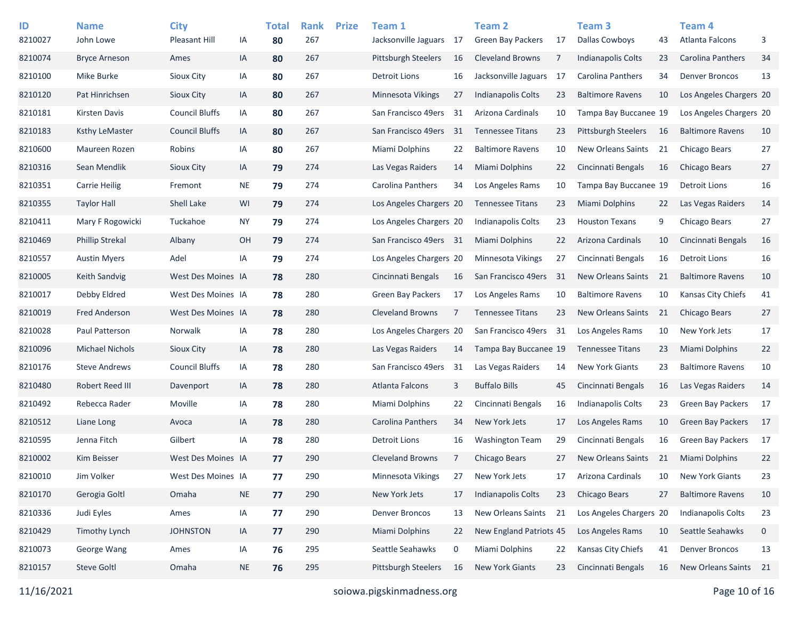| ID<br>8210027 | <b>Name</b><br>John Lowe | <b>City</b><br><b>Pleasant Hill</b> | IA        | <b>Total</b><br>80 | <b>Rank</b><br>267 | <b>Prize</b> | Team 1<br>Jacksonville Jaguars | 17 | Team 2<br><b>Green Bay Packers</b> | 17  | Team <sub>3</sub><br><b>Dallas Cowboys</b> | 43 | Team 4<br><b>Atlanta Falcons</b> | 3           |
|---------------|--------------------------|-------------------------------------|-----------|--------------------|--------------------|--------------|--------------------------------|----|------------------------------------|-----|--------------------------------------------|----|----------------------------------|-------------|
| 8210074       | <b>Bryce Arneson</b>     | Ames                                | IA        | 80                 | 267                |              | <b>Pittsburgh Steelers</b>     | 16 | <b>Cleveland Browns</b>            | 7   | Indianapolis Colts                         | 23 | <b>Carolina Panthers</b>         | 34          |
| 8210100       | Mike Burke               | Sioux City                          | IA        | 80                 | 267                |              | Detroit Lions                  | 16 | Jacksonville Jaguars               | -17 | Carolina Panthers                          | 34 | <b>Denver Broncos</b>            | 13          |
| 8210120       | Pat Hinrichsen           | Sioux City                          | IA        | 80                 | 267                |              | Minnesota Vikings              | 27 | Indianapolis Colts                 | 23  | <b>Baltimore Ravens</b>                    | 10 | Los Angeles Chargers 20          |             |
| 8210181       | <b>Kirsten Davis</b>     | <b>Council Bluffs</b>               | IA        | 80                 | 267                |              | San Francisco 49ers            | 31 | Arizona Cardinals                  | 10  | Tampa Bay Buccanee 19                      |    | Los Angeles Chargers 20          |             |
| 8210183       | <b>Ksthy LeMaster</b>    | <b>Council Bluffs</b>               | IA        | 80                 | 267                |              | San Francisco 49ers            | 31 | <b>Tennessee Titans</b>            | 23  | <b>Pittsburgh Steelers</b>                 | 16 | <b>Baltimore Ravens</b>          | 10          |
| 8210600       | Maureen Rozen            | Robins                              | IA        | 80                 | 267                |              | Miami Dolphins                 | 22 | <b>Baltimore Ravens</b>            | 10  | New Orleans Saints                         | 21 | Chicago Bears                    | 27          |
| 8210316       | Sean Mendlik             | Sioux City                          | IA        | 79                 | 274                |              | Las Vegas Raiders              | 14 | <b>Miami Dolphins</b>              | 22  | Cincinnati Bengals                         | 16 | <b>Chicago Bears</b>             | 27          |
| 8210351       | <b>Carrie Heilig</b>     | Fremont                             | <b>NE</b> | 79                 | 274                |              | Carolina Panthers              | 34 | Los Angeles Rams                   | 10  | Tampa Bay Buccanee 19                      |    | <b>Detroit Lions</b>             | 16          |
| 8210355       | Taylor Hall              | Shell Lake                          | WI        | 79                 | 274                |              | Los Angeles Chargers 20        |    | <b>Tennessee Titans</b>            | 23  | Miami Dolphins                             | 22 | Las Vegas Raiders                | 14          |
| 8210411       | Mary F Rogowicki         | Tuckahoe                            | NY.       | 79                 | 274                |              | Los Angeles Chargers 20        |    | <b>Indianapolis Colts</b>          | 23  | <b>Houston Texans</b>                      | 9  | Chicago Bears                    | 27          |
| 8210469       | <b>Phillip Strekal</b>   | Albany                              | OH        | 79                 | 274                |              | San Francisco 49ers 31         |    | Miami Dolphins                     | 22  | Arizona Cardinals                          | 10 | Cincinnati Bengals               | 16          |
| 8210557       | <b>Austin Myers</b>      | Adel                                | IA        | 79                 | 274                |              | Los Angeles Chargers 20        |    | <b>Minnesota Vikings</b>           | 27  | Cincinnati Bengals                         | 16 | <b>Detroit Lions</b>             | 16          |
| 8210005       | Keith Sandvig            | West Des Moines IA                  |           | 78                 | 280                |              | Cincinnati Bengals             | 16 | San Francisco 49ers                | 31  | <b>New Orleans Saints</b>                  | 21 | <b>Baltimore Ravens</b>          | 10          |
| 8210017       | Debby Eldred             | West Des Moines IA                  |           | 78                 | 280                |              | <b>Green Bay Packers</b>       | 17 | Los Angeles Rams                   | 10  | <b>Baltimore Ravens</b>                    | 10 | Kansas City Chiefs               | 41          |
| 8210019       | <b>Fred Anderson</b>     | West Des Moines IA                  |           | 78                 | 280                |              | <b>Cleveland Browns</b>        | 7  | <b>Tennessee Titans</b>            | 23  | <b>New Orleans Saints</b>                  | 21 | <b>Chicago Bears</b>             | 27          |
| 8210028       | Paul Patterson           | Norwalk                             | IA        | 78                 | 280                |              | Los Angeles Chargers 20        |    | San Francisco 49ers                | 31  | Los Angeles Rams                           | 10 | New York Jets                    | 17          |
| 8210096       | <b>Michael Nichols</b>   | Sioux City                          | IA        | 78                 | 280                |              | Las Vegas Raiders              | 14 | Tampa Bay Buccanee 19              |     | <b>Tennessee Titans</b>                    | 23 | Miami Dolphins                   | 22          |
| 8210176       | <b>Steve Andrews</b>     | <b>Council Bluffs</b>               | IA        | 78                 | 280                |              | San Francisco 49ers            | 31 | Las Vegas Raiders                  | 14  | <b>New York Giants</b>                     | 23 | <b>Baltimore Ravens</b>          | 10          |
| 8210480       | Robert Reed III          | Davenport                           | IA        | 78                 | 280                |              | Atlanta Falcons                | 3  | <b>Buffalo Bills</b>               | 45  | Cincinnati Bengals                         | 16 | Las Vegas Raiders                | 14          |
| 8210492       | Rebecca Rader            | Moville                             | IA        | 78                 | 280                |              | Miami Dolphins                 | 22 | Cincinnati Bengals                 | 16  | Indianapolis Colts                         | 23 | <b>Green Bay Packers</b>         | -17         |
| 8210512       | Liane Long               | Avoca                               | IA        | 78                 | 280                |              | Carolina Panthers              | 34 | New York Jets                      | 17  | Los Angeles Rams                           | 10 | <b>Green Bay Packers</b>         | - 17        |
| 8210595       | Jenna Fitch              | Gilbert                             | IA        | 78                 | 280                |              | <b>Detroit Lions</b>           | 16 | <b>Washington Team</b>             | 29  | Cincinnati Bengals                         | 16 | <b>Green Bay Packers</b>         | 17          |
| 8210002       | <b>Kim Beisser</b>       | West Des Moines IA                  |           | 77                 | 290                |              | <b>Cleveland Browns</b>        | 7  | Chicago Bears                      | 27  | New Orleans Saints                         | 21 | Miami Dolphins                   | 22          |
| 8210010       | Jim Volker               | West Des Moines IA                  |           | 77                 | 290                |              | <b>Minnesota Vikings</b>       | 27 | New York Jets                      | 17  | Arizona Cardinals                          | 10 | <b>New York Giants</b>           | 23          |
| 8210170       | Gerogia Goltl            | Omaha                               | <b>NE</b> | 77                 | 290                |              | New York Jets                  | 17 | <b>Indianapolis Colts</b>          | 23  | Chicago Bears                              | 27 | <b>Baltimore Ravens</b>          | 10          |
| 8210336       | Judi Eyles               | Ames                                | IA        | 77                 | 290                |              | <b>Denver Broncos</b>          | 13 | New Orleans Saints                 | 21  | Los Angeles Chargers 20                    |    | Indianapolis Colts               | 23          |
| 8210429       | <b>Timothy Lynch</b>     | <b>JOHNSTON</b>                     | IA        | 77                 | 290                |              | Miami Dolphins                 | 22 | New England Patriots 45            |     | Los Angeles Rams                           | 10 | Seattle Seahawks                 | $\mathbf 0$ |
| 8210073       | George Wang              | Ames                                | IA        | 76                 | 295                |              | Seattle Seahawks               | 0  | Miami Dolphins                     | 22  | Kansas City Chiefs                         | 41 | <b>Denver Broncos</b>            | 13          |
| 8210157       | <b>Steve Goltl</b>       | Omaha                               | <b>NE</b> | 76                 | 295                |              | <b>Pittsburgh Steelers</b>     | 16 | <b>New York Giants</b>             | 23  | Cincinnati Bengals                         | 16 | New Orleans Saints 21            |             |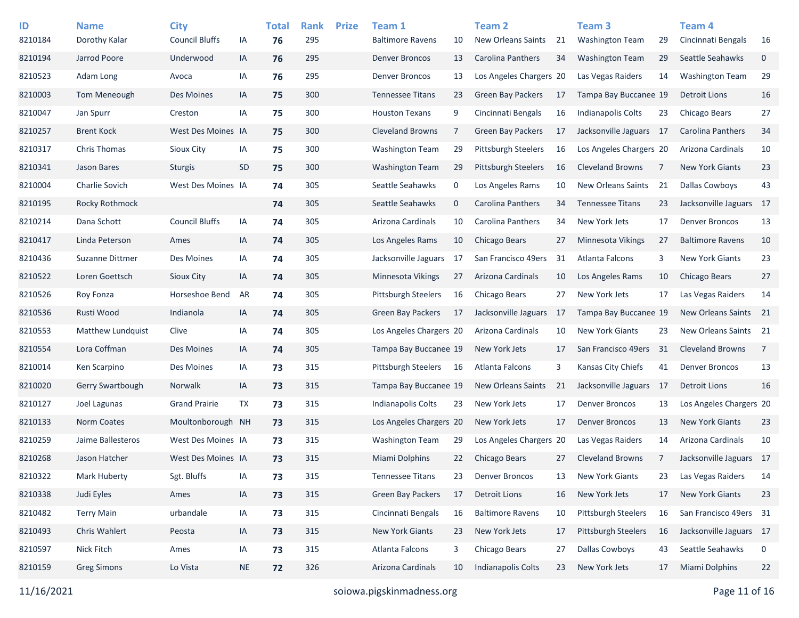| ID<br>8210184 | <b>Name</b><br>Dorothy Kalar | <b>City</b><br><b>Council Bluffs</b> | IA        | <b>Total</b><br>76 | <b>Rank</b><br>295 | <b>Prize</b> | Team 1<br><b>Baltimore Ravens</b> | 10             | <b>Team 2</b><br><b>New Orleans Saints</b> | 21  | Team <sub>3</sub><br><b>Washington Team</b> | 29   | Team 4<br>Cincinnati Bengals | 16                  |
|---------------|------------------------------|--------------------------------------|-----------|--------------------|--------------------|--------------|-----------------------------------|----------------|--------------------------------------------|-----|---------------------------------------------|------|------------------------------|---------------------|
| 8210194       | Jarrod Poore                 | Underwood                            | IA        | 76                 | 295                |              | <b>Denver Broncos</b>             | 13             | <b>Carolina Panthers</b>                   | 34  | <b>Washington Team</b>                      | 29   | Seattle Seahawks             | $\mathsf{O}\xspace$ |
| 8210523       |                              |                                      |           |                    | 295                |              | <b>Denver Broncos</b>             |                | Los Angeles Chargers 20                    |     | Las Vegas Raiders                           |      | <b>Washington Team</b>       | 29                  |
|               | Adam Long                    | Avoca                                | IA        | 76                 |                    |              |                                   | 13             |                                            |     |                                             | 14   |                              |                     |
| 8210003       | Tom Meneough                 | Des Moines                           | IA        | 75                 | 300                |              | <b>Tennessee Titans</b>           | 23             | <b>Green Bay Packers</b>                   | 17  | Tampa Bay Buccanee 19                       |      | <b>Detroit Lions</b>         | 16                  |
| 8210047       | Jan Spurr                    | Creston                              | IA        | 75                 | 300                |              | <b>Houston Texans</b>             | 9              | Cincinnati Bengals                         | 16  | Indianapolis Colts                          | 23   | Chicago Bears                | 27                  |
| 8210257       | <b>Brent Kock</b>            | West Des Moines IA                   |           | 75                 | 300                |              | <b>Cleveland Browns</b>           | $\overline{7}$ | <b>Green Bay Packers</b>                   | 17  | Jacksonville Jaguars 17                     |      | Carolina Panthers            | 34                  |
| 8210317       | Chris Thomas                 | Sioux City                           | IA        | 75                 | 300                |              | <b>Washington Team</b>            | 29             | <b>Pittsburgh Steelers</b>                 | 16  | Los Angeles Chargers 20                     |      | Arizona Cardinals            | 10                  |
| 8210341       | Jason Bares                  | <b>Sturgis</b>                       | SD        | 75                 | 300                |              | <b>Washington Team</b>            | 29             | <b>Pittsburgh Steelers</b>                 | 16  | <b>Cleveland Browns</b>                     | 7    | <b>New York Giants</b>       | 23                  |
| 8210004       | Charlie Sovich               | West Des Moines IA                   |           | 74                 | 305                |              | Seattle Seahawks                  | 0              | Los Angeles Rams                           | 10  | <b>New Orleans Saints</b>                   | 21   | <b>Dallas Cowboys</b>        | 43                  |
| 8210195       | Rocky Rothmock               |                                      |           | 74                 | 305                |              | Seattle Seahawks                  | $\mathbf 0$    | Carolina Panthers                          | 34  | <b>Tennessee Titans</b>                     | 23   | Jacksonville Jaguars 17      |                     |
| 8210214       | Dana Schott                  | <b>Council Bluffs</b>                | IA        | 74                 | 305                |              | Arizona Cardinals                 | 10             | <b>Carolina Panthers</b>                   | 34  | New York Jets                               | 17   | <b>Denver Broncos</b>        | 13                  |
| 8210417       | Linda Peterson               | Ames                                 | IA        | 74                 | 305                |              | Los Angeles Rams                  | 10             | Chicago Bears                              | 27  | Minnesota Vikings                           | 27   | <b>Baltimore Ravens</b>      | 10                  |
| 8210436       | Suzanne Dittmer              | Des Moines                           | IA        | 74                 | 305                |              | Jacksonville Jaguars              | 17             | San Francisco 49ers                        | 31  | Atlanta Falcons                             | 3    | <b>New York Giants</b>       | 23                  |
| 8210522       | Loren Goettsch               | <b>Sioux City</b>                    | IA        | 74                 | 305                |              | <b>Minnesota Vikings</b>          | 27             | Arizona Cardinals                          | 10  | Los Angeles Rams                            | 10   | <b>Chicago Bears</b>         | 27                  |
| 8210526       | Roy Fonza                    | Horseshoe Bend                       | AR        | 74                 | 305                |              | <b>Pittsburgh Steelers</b>        | 16             | Chicago Bears                              | 27  | New York Jets                               | 17   | Las Vegas Raiders            | 14                  |
| 8210536       | Rusti Wood                   | Indianola                            | IA        | 74                 | 305                |              | <b>Green Bay Packers</b>          | 17             | Jacksonville Jaguars                       | -17 | Tampa Bay Buccanee 19                       |      | New Orleans Saints           | 21                  |
| 8210553       | Matthew Lundquist            | Clive                                | IA        | 74                 | 305                |              | Los Angeles Chargers 20           |                | Arizona Cardinals                          | 10  | <b>New York Giants</b>                      | 23   | New Orleans Saints 21        |                     |
| 8210554       | Lora Coffman                 | Des Moines                           | IA        | 74                 | 305                |              | Tampa Bay Buccanee 19             |                | New York Jets                              | 17  | San Francisco 49ers                         | 31   | <b>Cleveland Browns</b>      | $\overline{7}$      |
| 8210014       | Ken Scarpino                 | Des Moines                           | IA        | 73                 | 315                |              | Pittsburgh Steelers               | 16             | Atlanta Falcons                            | 3   | Kansas City Chiefs                          | 41   | <b>Denver Broncos</b>        | 13                  |
| 8210020       | Gerry Swartbough             | Norwalk                              | IA        | 73                 | 315                |              | Tampa Bay Buccanee 19             |                | <b>New Orleans Saints</b>                  | 21  | Jacksonville Jaguars                        | - 17 | <b>Detroit Lions</b>         | 16                  |
| 8210127       | Joel Lagunas                 | <b>Grand Prairie</b>                 | TX        | 73                 | 315                |              | <b>Indianapolis Colts</b>         | 23             | New York Jets                              | 17  | <b>Denver Broncos</b>                       | 13   | Los Angeles Chargers 20      |                     |
| 8210133       | <b>Norm Coates</b>           | Moultonborough NH                    |           | 73                 | 315                |              | Los Angeles Chargers 20           |                | New York Jets                              | 17  | <b>Denver Broncos</b>                       | 13   | <b>New York Giants</b>       | 23                  |
| 8210259       | Jaime Ballesteros            | West Des Moines IA                   |           | 73                 | 315                |              | <b>Washington Team</b>            | 29             | Los Angeles Chargers 20                    |     | Las Vegas Raiders                           | 14   | Arizona Cardinals            | 10                  |
| 8210268       | Jason Hatcher                | West Des Moines IA                   |           | 73                 | 315                |              | <b>Miami Dolphins</b>             | 22             | Chicago Bears                              | 27  | <b>Cleveland Browns</b>                     | 7    | Jacksonville Jaguars 17      |                     |
| 8210322       | Mark Huberty                 | Sgt. Bluffs                          | IA        | 73                 | 315                |              | <b>Tennessee Titans</b>           | 23             | <b>Denver Broncos</b>                      | 13  | <b>New York Giants</b>                      | 23   | Las Vegas Raiders            | 14                  |
| 8210338       | Judi Eyles                   | Ames                                 | IA        | 73                 | 315                |              | Green Bay Packers                 | 17             | <b>Detroit Lions</b>                       | 16  | New York Jets                               | 17   | <b>New York Giants</b>       | 23                  |
| 8210482       | <b>Terry Main</b>            | urbandale                            | IA        | 73                 | 315                |              | Cincinnati Bengals                | 16             | <b>Baltimore Ravens</b>                    | 10  | <b>Pittsburgh Steelers</b>                  | 16   | San Francisco 49ers 31       |                     |
| 8210493       | Chris Wahlert                | Peosta                               | IA        | 73                 | 315                |              | New York Giants                   | 23             | New York Jets                              | 17  | Pittsburgh Steelers                         | 16   | Jacksonville Jaguars 17      |                     |
| 8210597       | Nick Fitch                   | Ames                                 | IA        | 73                 | 315                |              | Atlanta Falcons                   | 3              | Chicago Bears                              | 27  | <b>Dallas Cowboys</b>                       | 43   | Seattle Seahawks             | 0                   |
| 8210159       | <b>Greg Simons</b>           | Lo Vista                             | <b>NE</b> | 72                 | 326                |              | Arizona Cardinals                 | 10             | <b>Indianapolis Colts</b>                  | 23  | New York Jets                               | 17   | <b>Miami Dolphins</b>        | 22                  |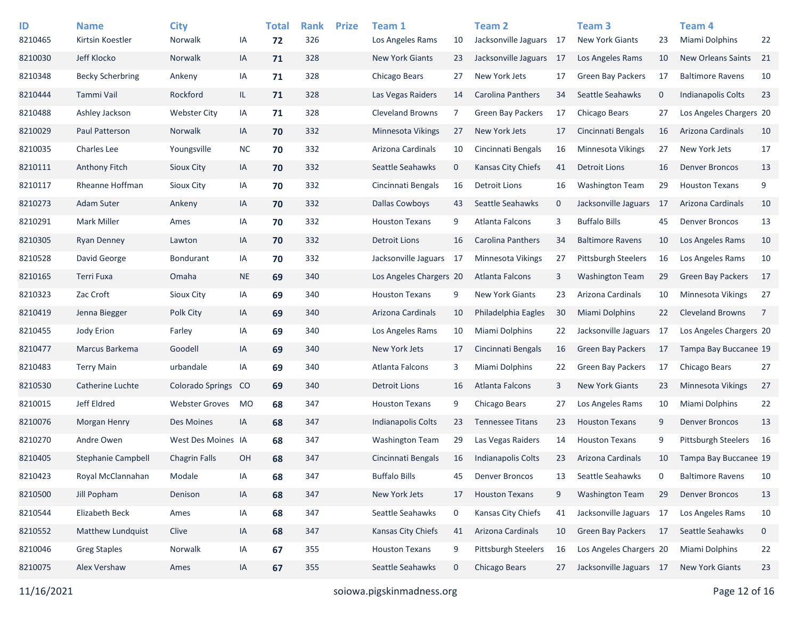| ID<br>8210465 | <b>Name</b><br>Kirtsin Koestler | <b>City</b><br>Norwalk  | IA        | <b>Total</b><br>72 | <b>Rank</b><br>326 | <b>Prize</b> | Team 1<br>Los Angeles Rams | 10          | <b>Team 2</b><br>Jacksonville Jaguars 17 |             | <b>Team 3</b><br>New York Giants | 23          | Team 4<br>Miami Dolphins | 22             |
|---------------|---------------------------------|-------------------------|-----------|--------------------|--------------------|--------------|----------------------------|-------------|------------------------------------------|-------------|----------------------------------|-------------|--------------------------|----------------|
| 8210030       | Jeff Klocko                     | Norwalk                 | IA        | 71                 | 328                |              | <b>New York Giants</b>     | 23          | Jacksonville Jaguars                     | - 17        | Los Angeles Rams                 | 10          | New Orleans Saints       | 21             |
| 8210348       | <b>Becky Scherbring</b>         | Ankeny                  | ΙA        | 71                 | 328                |              | Chicago Bears              | 27          | New York Jets                            | 17          | <b>Green Bay Packers</b>         | 17          | <b>Baltimore Ravens</b>  | 10             |
| 8210444       | Tammi Vail                      | Rockford                | IL.       | 71                 | 328                |              | Las Vegas Raiders          | 14          | Carolina Panthers                        | 34          | Seattle Seahawks                 | $\mathbf 0$ | Indianapolis Colts       | 23             |
| 8210488       | Ashley Jackson                  | <b>Webster City</b>     | IA        | 71                 | 328                |              | <b>Cleveland Browns</b>    | 7           | <b>Green Bay Packers</b>                 | 17          | Chicago Bears                    | 27          | Los Angeles Chargers 20  |                |
| 8210029       | Paul Patterson                  | Norwalk                 | IA        | 70                 | 332                |              | Minnesota Vikings          | 27          | New York Jets                            | 17          | Cincinnati Bengals               | 16          | Arizona Cardinals        | 10             |
| 8210035       | <b>Charles Lee</b>              | Youngsville             | <b>NC</b> | 70                 | 332                |              | Arizona Cardinals          | 10          | Cincinnati Bengals                       | 16          | <b>Minnesota Vikings</b>         | 27          | New York Jets            | 17             |
| 8210111       | Anthony Fitch                   | <b>Sioux City</b>       | IA        | 70                 | 332                |              | Seattle Seahawks           | $\mathbf 0$ | Kansas City Chiefs                       | 41          | <b>Detroit Lions</b>             | 16          | <b>Denver Broncos</b>    | 13             |
| 8210117       | Rheanne Hoffman                 | Sioux City              | ΙA        | 70                 | 332                |              | Cincinnati Bengals         | 16          | <b>Detroit Lions</b>                     | 16          | <b>Washington Team</b>           | 29          | <b>Houston Texans</b>    | 9              |
| 8210273       | <b>Adam Suter</b>               | Ankeny                  | IA        | 70                 | 332                |              | <b>Dallas Cowboys</b>      | 43          | Seattle Seahawks                         | $\mathbf 0$ | Jacksonville Jaguars             | -17         | Arizona Cardinals        | 10             |
| 8210291       | <b>Mark Miller</b>              | Ames                    | IA        | 70                 | 332                |              | <b>Houston Texans</b>      | 9           | Atlanta Falcons                          | 3           | <b>Buffalo Bills</b>             | 45          | <b>Denver Broncos</b>    | 13             |
| 8210305       | Ryan Denney                     | Lawton                  | IA        | 70                 | 332                |              | <b>Detroit Lions</b>       | 16          | Carolina Panthers                        | 34          | <b>Baltimore Ravens</b>          | 10          | Los Angeles Rams         | 10             |
| 8210528       | David George                    | <b>Bondurant</b>        | IA        | 70                 | 332                |              | Jacksonville Jaguars       | 17          | Minnesota Vikings                        | 27          | <b>Pittsburgh Steelers</b>       | 16          | Los Angeles Rams         | 10             |
| 8210165       | Terri Fuxa                      | Omaha                   | <b>NE</b> | 69                 | 340                |              | Los Angeles Chargers 20    |             | Atlanta Falcons                          | 3           | <b>Washington Team</b>           | 29          | <b>Green Bay Packers</b> | 17             |
| 8210323       | Zac Croft                       | <b>Sioux City</b>       | IA        | 69                 | 340                |              | <b>Houston Texans</b>      | 9           | <b>New York Giants</b>                   | 23          | Arizona Cardinals                | 10          | <b>Minnesota Vikings</b> | 27             |
| 8210419       | Jenna Biegger                   | Polk City               | IA        | 69                 | 340                |              | Arizona Cardinals          | 10          | Philadelphia Eagles                      | 30          | <b>Miami Dolphins</b>            | 22          | <b>Cleveland Browns</b>  | $\overline{7}$ |
| 8210455       | Jody Erion                      | Farley                  | IA        | 69                 | 340                |              | Los Angeles Rams           | 10          | Miami Dolphins                           | 22          | Jacksonville Jaguars             | -17         | Los Angeles Chargers 20  |                |
| 8210477       | Marcus Barkema                  | Goodell                 | IA        | 69                 | 340                |              | New York Jets              | 17          | Cincinnati Bengals                       | 16          | <b>Green Bay Packers</b>         | 17          | Tampa Bay Buccanee 19    |                |
| 8210483       | <b>Terry Main</b>               | urbandale               | IA        | 69                 | 340                |              | Atlanta Falcons            | 3           | Miami Dolphins                           | 22          | <b>Green Bay Packers</b>         | 17          | Chicago Bears            | 27             |
| 8210530       | Catherine Luchte                | <b>Colorado Springs</b> | CO        | 69                 | 340                |              | <b>Detroit Lions</b>       | 16          | Atlanta Falcons                          | 3           | <b>New York Giants</b>           | 23          | Minnesota Vikings        | 27             |
| 8210015       | Jeff Eldred                     | <b>Webster Groves</b>   | <b>MO</b> | 68                 | 347                |              | <b>Houston Texans</b>      | 9           | Chicago Bears                            | 27          | Los Angeles Rams                 | 10          | Miami Dolphins           | 22             |
| 8210076       | Morgan Henry                    | Des Moines              | IA        | 68                 | 347                |              | Indianapolis Colts         | 23          | <b>Tennessee Titans</b>                  | 23          | <b>Houston Texans</b>            | 9           | <b>Denver Broncos</b>    | 13             |
| 8210270       | Andre Owen                      | West Des Moines IA      |           | 68                 | 347                |              | <b>Washington Team</b>     | 29          | Las Vegas Raiders                        | 14          | <b>Houston Texans</b>            | 9           | Pittsburgh Steelers      | 16             |
| 8210405       | Stephanie Campbell              | <b>Chagrin Falls</b>    | <b>OH</b> | 68                 | 347                |              | Cincinnati Bengals         | 16          | <b>Indianapolis Colts</b>                | 23          | Arizona Cardinals                | 10          | Tampa Bay Buccanee 19    |                |
| 8210423       | Royal McClannahan               | Modale                  | IA        | 68                 | 347                |              | <b>Buffalo Bills</b>       | 45          | <b>Denver Broncos</b>                    | 13          | Seattle Seahawks                 | $\mathbf 0$ | <b>Baltimore Ravens</b>  | 10             |
| 8210500       | Jill Popham                     | Denison                 | IA        | 68                 | 347                |              | New York Jets              | 17          | <b>Houston Texans</b>                    | 9           | <b>Washington Team</b>           | 29          | <b>Denver Broncos</b>    | 13             |
| 8210544       | Elizabeth Beck                  | Ames                    | IA        | 68                 | 347                |              | Seattle Seahawks           | 0           | Kansas City Chiefs                       | 41          | Jacksonville Jaguars 17          |             | Los Angeles Rams         | 10             |
| 8210552       | Matthew Lundquist               | Clive                   | IA        | 68                 | 347                |              | Kansas City Chiefs         | 41          | Arizona Cardinals                        | 10          | <b>Green Bay Packers</b>         | 17          | Seattle Seahawks         | $\mathbf 0$    |
| 8210046       | <b>Greg Staples</b>             | Norwalk                 | IA        | 67                 | 355                |              | <b>Houston Texans</b>      | 9           | Pittsburgh Steelers                      | 16          | Los Angeles Chargers 20          |             | Miami Dolphins           | 22             |
| 8210075       | Alex Vershaw                    | Ames                    | IA        | 67                 | 355                |              | Seattle Seahawks           | $\mathbf 0$ | Chicago Bears                            | 27          | Jacksonville Jaguars 17          |             | New York Giants          | 23             |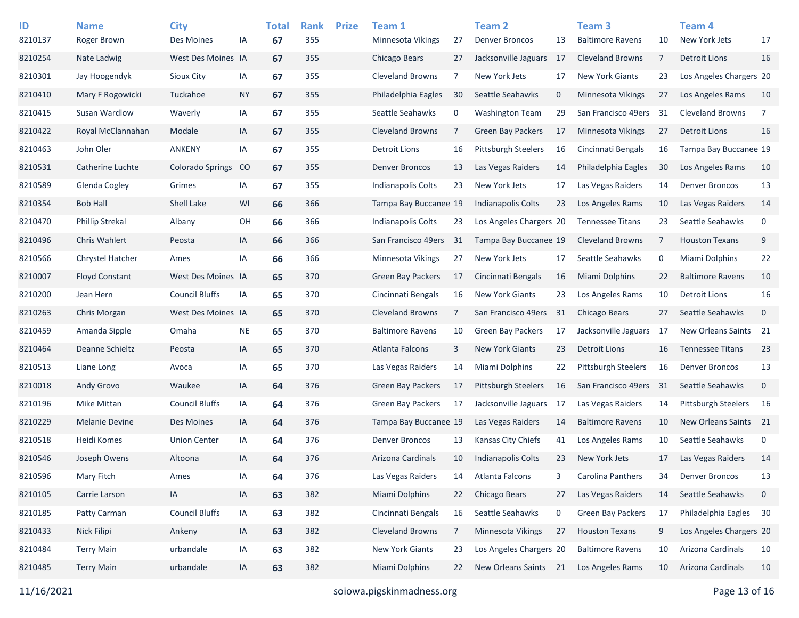| ID<br>8210137 | <b>Name</b><br>Roger Brown | <b>City</b><br>Des Moines | IA        | <b>Total</b><br>67 | <b>Rank</b><br>355 | <b>Prize</b> | Team 1<br><b>Minnesota Vikings</b> | 27 | <b>Team 2</b><br><b>Denver Broncos</b> | 13          | Team <sub>3</sub><br><b>Baltimore Ravens</b> | 10 | Team 4<br>New York Jets    | 17             |
|---------------|----------------------------|---------------------------|-----------|--------------------|--------------------|--------------|------------------------------------|----|----------------------------------------|-------------|----------------------------------------------|----|----------------------------|----------------|
| 8210254       | Nate Ladwig                | West Des Moines IA        |           | 67                 | 355                |              | Chicago Bears                      | 27 | Jacksonville Jaguars                   | - 17        | <b>Cleveland Browns</b>                      | 7  | <b>Detroit Lions</b>       | 16             |
| 8210301       | Jay Hoogendyk              | Sioux City                | IA        | 67                 | 355                |              | <b>Cleveland Browns</b>            | 7  | New York Jets                          | 17          | <b>New York Giants</b>                       | 23 | Los Angeles Chargers 20    |                |
| 8210410       | Mary F Rogowicki           | Tuckahoe                  | <b>NY</b> | 67                 | 355                |              | Philadelphia Eagles                | 30 | Seattle Seahawks                       | $\mathbf 0$ | Minnesota Vikings                            | 27 | Los Angeles Rams           | 10             |
| 8210415       | Susan Wardlow              | Waverly                   | IA        | 67                 | 355                |              | Seattle Seahawks                   | 0  | <b>Washington Team</b>                 | 29          | San Francisco 49ers                          | 31 | <b>Cleveland Browns</b>    | $\overline{7}$ |
| 8210422       | Royal McClannahan          | Modale                    | IA        | 67                 | 355                |              | <b>Cleveland Browns</b>            | 7  | <b>Green Bay Packers</b>               | 17          | <b>Minnesota Vikings</b>                     | 27 | <b>Detroit Lions</b>       | 16             |
| 8210463       | John Oler                  | ANKENY                    | IA        | 67                 | 355                |              | <b>Detroit Lions</b>               | 16 | <b>Pittsburgh Steelers</b>             | 16          | Cincinnati Bengals                           | 16 | Tampa Bay Buccanee 19      |                |
| 8210531       | Catherine Luchte           | Colorado Springs          | <b>CO</b> | 67                 | 355                |              | <b>Denver Broncos</b>              | 13 | Las Vegas Raiders                      | 14          | Philadelphia Eagles                          | 30 | Los Angeles Rams           | 10             |
| 8210589       | Glenda Cogley              | Grimes                    | IA        | 67                 | 355                |              | <b>Indianapolis Colts</b>          | 23 | New York Jets                          | 17          | Las Vegas Raiders                            | 14 | <b>Denver Broncos</b>      | 13             |
| 8210354       | <b>Bob Hall</b>            | Shell Lake                | WI        | 66                 | 366                |              | Tampa Bay Buccanee 19              |    | Indianapolis Colts                     | 23          | Los Angeles Rams                             | 10 | Las Vegas Raiders          | 14             |
| 8210470       | <b>Phillip Strekal</b>     | Albany                    | OH        | 66                 | 366                |              | <b>Indianapolis Colts</b>          | 23 | Los Angeles Chargers 20                |             | <b>Tennessee Titans</b>                      | 23 | Seattle Seahawks           | $\mathbf 0$    |
| 8210496       | Chris Wahlert              | Peosta                    | IA        | 66                 | 366                |              | San Francisco 49ers                | 31 | Tampa Bay Buccanee 19                  |             | <b>Cleveland Browns</b>                      | 7  | <b>Houston Texans</b>      | 9              |
| 8210566       | Chrystel Hatcher           | Ames                      | IA        | 66                 | 366                |              | Minnesota Vikings                  | 27 | New York Jets                          | 17          | Seattle Seahawks                             | 0  | Miami Dolphins             | 22             |
| 8210007       | <b>Floyd Constant</b>      | West Des Moines IA        |           | 65                 | 370                |              | <b>Green Bay Packers</b>           | 17 | Cincinnati Bengals                     | 16          | Miami Dolphins                               | 22 | <b>Baltimore Ravens</b>    | 10             |
| 8210200       | Jean Hern                  | <b>Council Bluffs</b>     | IA        | 65                 | 370                |              | Cincinnati Bengals                 | 16 | <b>New York Giants</b>                 | 23          | Los Angeles Rams                             | 10 | <b>Detroit Lions</b>       | 16             |
| 8210263       | Chris Morgan               | West Des Moines IA        |           | 65                 | 370                |              | <b>Cleveland Browns</b>            | 7  | San Francisco 49ers                    | 31          | Chicago Bears                                | 27 | Seattle Seahawks           | $\mathbf 0$    |
| 8210459       | Amanda Sipple              | Omaha                     | <b>NE</b> | 65                 | 370                |              | <b>Baltimore Ravens</b>            | 10 | <b>Green Bay Packers</b>               | 17          | Jacksonville Jaguars                         | 17 | New Orleans Saints         | 21             |
| 8210464       | Deanne Schieltz            | Peosta                    | IA        | 65                 | 370                |              | Atlanta Falcons                    | 3  | <b>New York Giants</b>                 | 23          | <b>Detroit Lions</b>                         | 16 | <b>Tennessee Titans</b>    | 23             |
| 8210513       | Liane Long                 | Avoca                     | IA        | 65                 | 370                |              | Las Vegas Raiders                  | 14 | Miami Dolphins                         | 22          | <b>Pittsburgh Steelers</b>                   | 16 | <b>Denver Broncos</b>      | 13             |
| 8210018       | Andy Grovo                 | Waukee                    | IA        | 64                 | 376                |              | Green Bay Packers                  | 17 | <b>Pittsburgh Steelers</b>             | 16          | San Francisco 49ers                          | 31 | Seattle Seahawks           | $\mathbf 0$    |
| 8210196       | <b>Mike Mittan</b>         | <b>Council Bluffs</b>     | IA        | 64                 | 376                |              | <b>Green Bay Packers</b>           | 17 | Jacksonville Jaguars                   | 17          | Las Vegas Raiders                            | 14 | <b>Pittsburgh Steelers</b> | 16             |
| 8210229       | <b>Melanie Devine</b>      | Des Moines                | IA        | 64                 | 376                |              | Tampa Bay Buccanee 19              |    | Las Vegas Raiders                      | 14          | <b>Baltimore Ravens</b>                      | 10 | New Orleans Saints         | 21             |
| 8210518       | Heidi Komes                | <b>Union Center</b>       | IA        | 64                 | 376                |              | Denver Broncos                     | 13 | Kansas City Chiefs                     | 41          | Los Angeles Rams                             | 10 | Seattle Seahawks           | $\mathbf 0$    |
| 8210546       | Joseph Owens               | Altoona                   | IA        | 64                 | 376                |              | Arizona Cardinals                  | 10 | <b>Indianapolis Colts</b>              | 23          | New York Jets                                | 17 | Las Vegas Raiders          | 14             |
| 8210596       | Mary Fitch                 | Ames                      | IA        | 64                 | 376                |              | Las Vegas Raiders                  | 14 | Atlanta Falcons                        | 3           | Carolina Panthers                            | 34 | <b>Denver Broncos</b>      | 13             |
| 8210105       | Carrie Larson              | IA                        | IA        | 63                 | 382                |              | Miami Dolphins                     | 22 | Chicago Bears                          | 27          | Las Vegas Raiders                            | 14 | Seattle Seahawks           | $\mathbf 0$    |
| 8210185       | Patty Carman               | <b>Council Bluffs</b>     | IA        | 63                 | 382                |              | Cincinnati Bengals                 | 16 | Seattle Seahawks                       | 0           | Green Bay Packers                            | 17 | Philadelphia Eagles        | 30             |
| 8210433       | Nick Filipi                | Ankeny                    | IA        | 63                 | 382                |              | Cleveland Browns                   | 7  | Minnesota Vikings                      | 27          | <b>Houston Texans</b>                        | 9  | Los Angeles Chargers 20    |                |
| 8210484       | <b>Terry Main</b>          | urbandale                 | IA        | 63                 | 382                |              | New York Giants                    | 23 | Los Angeles Chargers 20                |             | <b>Baltimore Ravens</b>                      | 10 | Arizona Cardinals          | 10             |
| 8210485       | <b>Terry Main</b>          | urbandale                 | IA        | 63                 | 382                |              | Miami Dolphins                     | 22 | New Orleans Saints 21                  |             | Los Angeles Rams                             | 10 | Arizona Cardinals          | 10             |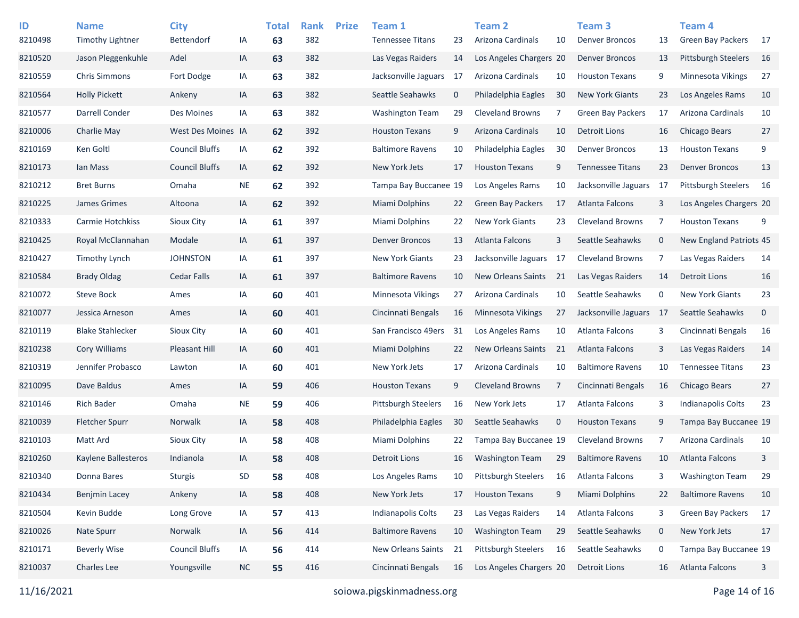| ID<br>8210498 | <b>Name</b><br><b>Timothy Lightner</b> | <b>City</b><br>Bettendorf | IA        | <b>Total</b><br>63 | <b>Rank</b><br>382 | <b>Prize</b> | Team 1<br><b>Tennessee Titans</b> | 23          | <b>Team 2</b><br>Arizona Cardinals | 10          | Team <sub>3</sub><br><b>Denver Broncos</b> | 13          | Team <sub>4</sub><br><b>Green Bay Packers</b> | - 17        |
|---------------|----------------------------------------|---------------------------|-----------|--------------------|--------------------|--------------|-----------------------------------|-------------|------------------------------------|-------------|--------------------------------------------|-------------|-----------------------------------------------|-------------|
| 8210520       | Jason Pleggenkuhle                     | Adel                      | IA        | 63                 | 382                |              | Las Vegas Raiders                 | 14          | Los Angeles Chargers 20            |             | <b>Denver Broncos</b>                      | 13          | <b>Pittsburgh Steelers</b>                    | 16          |
| 8210559       | <b>Chris Simmons</b>                   | Fort Dodge                | IA        | 63                 | 382                |              | Jacksonville Jaguars              | 17          | Arizona Cardinals                  | 10          | <b>Houston Texans</b>                      | 9           | <b>Minnesota Vikings</b>                      | 27          |
| 8210564       | <b>Holly Pickett</b>                   | Ankeny                    | IA        | 63                 | 382                |              | Seattle Seahawks                  | $\mathbf 0$ | Philadelphia Eagles                | 30          | <b>New York Giants</b>                     | 23          | Los Angeles Rams                              | 10          |
| 8210577       | Darrell Conder                         | Des Moines                | IA        | 63                 | 382                |              | <b>Washington Team</b>            | 29          | <b>Cleveland Browns</b>            | 7           | <b>Green Bay Packers</b>                   | 17          | Arizona Cardinals                             | 10          |
| 8210006       | Charlie May                            | West Des Moines IA        |           | 62                 | 392                |              | <b>Houston Texans</b>             | 9           | Arizona Cardinals                  | 10          | <b>Detroit Lions</b>                       | 16          | Chicago Bears                                 | 27          |
| 8210169       | Ken Goltl                              | <b>Council Bluffs</b>     | IA        | 62                 | 392                |              | <b>Baltimore Ravens</b>           | 10          | Philadelphia Eagles                | 30          | <b>Denver Broncos</b>                      | 13          | <b>Houston Texans</b>                         | 9           |
| 8210173       | Ian Mass                               | <b>Council Bluffs</b>     | IA        | 62                 | 392                |              | New York Jets                     | 17          | <b>Houston Texans</b>              | 9           | <b>Tennessee Titans</b>                    | 23          | <b>Denver Broncos</b>                         | 13          |
| 8210212       | <b>Bret Burns</b>                      | Omaha                     | <b>NE</b> | 62                 | 392                |              | Tampa Bay Buccanee 19             |             | Los Angeles Rams                   | 10          | Jacksonville Jaguars                       | 17          | Pittsburgh Steelers                           | 16          |
| 8210225       | James Grimes                           | Altoona                   | IA        | 62                 | 392                |              | <b>Miami Dolphins</b>             | 22          | <b>Green Bay Packers</b>           | 17          | <b>Atlanta Falcons</b>                     | 3           | Los Angeles Chargers 20                       |             |
| 8210333       | Carmie Hotchkiss                       | Sioux City                | IA        | 61                 | 397                |              | Miami Dolphins                    | 22          | <b>New York Giants</b>             | 23          | <b>Cleveland Browns</b>                    | 7           | <b>Houston Texans</b>                         | 9           |
| 8210425       | Royal McClannahan                      | Modale                    | IA        | 61                 | 397                |              | <b>Denver Broncos</b>             | 13          | Atlanta Falcons                    | 3           | Seattle Seahawks                           | $\mathbf 0$ | New England Patriots 45                       |             |
| 8210427       | <b>Timothy Lynch</b>                   | <b>JOHNSTON</b>           | IA        | 61                 | 397                |              | <b>New York Giants</b>            | 23          | Jacksonville Jaguars               | 17          | <b>Cleveland Browns</b>                    | 7           | Las Vegas Raiders                             | 14          |
| 8210584       | <b>Brady Oldag</b>                     | <b>Cedar Falls</b>        | IA        | 61                 | 397                |              | <b>Baltimore Ravens</b>           | 10          | <b>New Orleans Saints</b>          | 21          | Las Vegas Raiders                          | 14          | <b>Detroit Lions</b>                          | 16          |
| 8210072       | <b>Steve Bock</b>                      | Ames                      | IA        | 60                 | 401                |              | Minnesota Vikings                 | 27          | Arizona Cardinals                  | 10          | Seattle Seahawks                           | 0           | <b>New York Giants</b>                        | 23          |
| 8210077       | Jessica Arneson                        | Ames                      | IA        | 60                 | 401                |              | Cincinnati Bengals                | 16          | Minnesota Vikings                  | 27          | Jacksonville Jaguars                       | - 17        | Seattle Seahawks                              | $\mathbf 0$ |
| 8210119       | <b>Blake Stahlecker</b>                | Sioux City                | IA        | 60                 | 401                |              | San Francisco 49ers               | 31          | Los Angeles Rams                   | 10          | Atlanta Falcons                            | 3           | Cincinnati Bengals                            | 16          |
| 8210238       | <b>Cory Williams</b>                   | <b>Pleasant Hill</b>      | IA        | 60                 | 401                |              | Miami Dolphins                    | 22          | <b>New Orleans Saints</b>          | 21          | Atlanta Falcons                            | 3           | Las Vegas Raiders                             | 14          |
| 8210319       | Jennifer Probasco                      | Lawton                    | IA        | 60                 | 401                |              | New York Jets                     | 17          | Arizona Cardinals                  | 10          | <b>Baltimore Ravens</b>                    | 10          | <b>Tennessee Titans</b>                       | 23          |
| 8210095       | Dave Baldus                            | Ames                      | IA        | 59                 | 406                |              | <b>Houston Texans</b>             | 9           | <b>Cleveland Browns</b>            | 7           | Cincinnati Bengals                         | 16          | Chicago Bears                                 | 27          |
| 8210146       | <b>Rich Bader</b>                      | Omaha                     | <b>NE</b> | 59                 | 406                |              | <b>Pittsburgh Steelers</b>        | 16          | New York Jets                      | 17          | Atlanta Falcons                            | 3           | <b>Indianapolis Colts</b>                     | 23          |
| 8210039       | Fletcher Spurr                         | Norwalk                   | IA        | 58                 | 408                |              | Philadelphia Eagles               | 30          | Seattle Seahawks                   | $\mathbf 0$ | <b>Houston Texans</b>                      | 9           | Tampa Bay Buccanee 19                         |             |
| 8210103       | Matt Ard                               | Sioux City                | IA        | 58                 | 408                |              | Miami Dolphins                    | 22          | Tampa Bay Buccanee 19              |             | <b>Cleveland Browns</b>                    | 7           | Arizona Cardinals                             | 10          |
| 8210260       | Kaylene Ballesteros                    | Indianola                 | IA        | 58                 | 408                |              | <b>Detroit Lions</b>              | 16          | <b>Washington Team</b>             | 29          | <b>Baltimore Ravens</b>                    | 10          | Atlanta Falcons                               | 3           |
| 8210340       | Donna Bares                            | <b>Sturgis</b>            | SD        | 58                 | 408                |              | Los Angeles Rams                  | 10          | <b>Pittsburgh Steelers</b>         | 16          | Atlanta Falcons                            | 3           | <b>Washington Team</b>                        | 29          |
| 8210434       | <b>Benjmin Lacey</b>                   | Ankeny                    | IA        | 58                 | 408                |              | New York Jets                     | 17          | <b>Houston Texans</b>              | 9           | Miami Dolphins                             | 22          | <b>Baltimore Ravens</b>                       | 10          |
| 8210504       | Kevin Budde                            | Long Grove                | IA        | 57                 | 413                |              | Indianapolis Colts                | 23          | Las Vegas Raiders                  | 14          | Atlanta Falcons                            | 3           | Green Bay Packers                             | 17          |
| 8210026       | Nate Spurr                             | Norwalk                   | IA        | 56                 | 414                |              | <b>Baltimore Ravens</b>           | 10          | <b>Washington Team</b>             | 29          | Seattle Seahawks                           | $\mathbf 0$ | New York Jets                                 | 17          |
| 8210171       | <b>Beverly Wise</b>                    | <b>Council Bluffs</b>     | IA        | 56                 | 414                |              | New Orleans Saints                | 21          | Pittsburgh Steelers                | 16          | Seattle Seahawks                           | 0           | Tampa Bay Buccanee 19                         |             |
| 8210037       | Charles Lee                            | Youngsville               | <b>NC</b> | 55                 | 416                |              | Cincinnati Bengals                | 16          | Los Angeles Chargers 20            |             | <b>Detroit Lions</b>                       | 16          | Atlanta Falcons                               | 3           |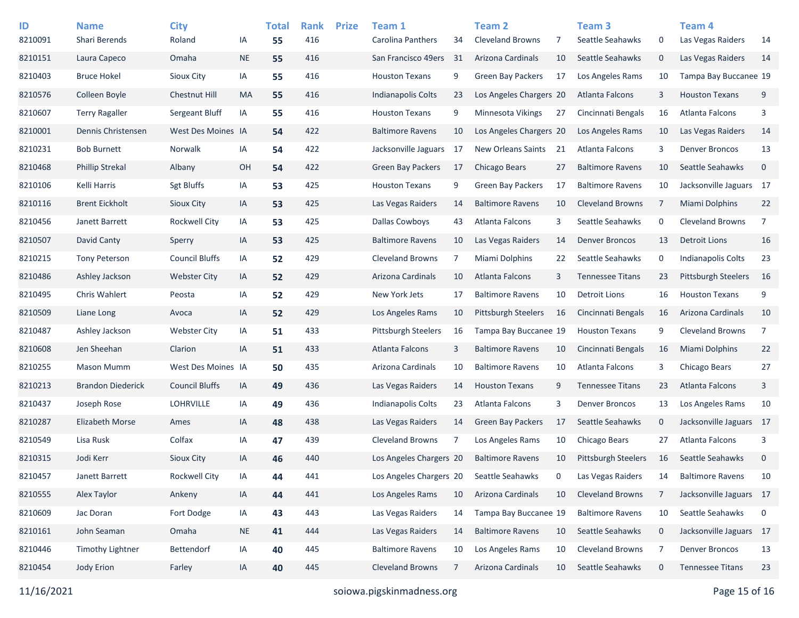| ID<br>8210091 | <b>Name</b><br>Shari Berends | <b>City</b><br>Roland | IA        | <b>Total</b><br>55 | <b>Rank</b><br>416 | <b>Prize</b> | Team 1<br>Carolina Panthers | 34 | <b>Team 2</b><br><b>Cleveland Browns</b> | 7  | Team <sub>3</sub><br>Seattle Seahawks | 0           | Team <sub>4</sub><br>Las Vegas Raiders | 14             |
|---------------|------------------------------|-----------------------|-----------|--------------------|--------------------|--------------|-----------------------------|----|------------------------------------------|----|---------------------------------------|-------------|----------------------------------------|----------------|
| 8210151       | Laura Capeco                 | Omaha                 | <b>NE</b> | 55                 | 416                |              | San Francisco 49ers         | 31 | Arizona Cardinals                        | 10 | Seattle Seahawks                      | $\mathbf 0$ | Las Vegas Raiders                      | 14             |
| 8210403       | <b>Bruce Hokel</b>           | Sioux City            | IA        | 55                 | 416                |              | <b>Houston Texans</b>       | 9  | <b>Green Bay Packers</b>                 | 17 | Los Angeles Rams                      | 10          | Tampa Bay Buccanee 19                  |                |
| 8210576       | Colleen Boyle                | Chestnut Hill         | <b>MA</b> | 55                 | 416                |              | <b>Indianapolis Colts</b>   | 23 | Los Angeles Chargers 20                  |    | Atlanta Falcons                       | 3           | <b>Houston Texans</b>                  | 9              |
| 8210607       | <b>Terry Ragaller</b>        | Sergeant Bluff        | IA        | 55                 | 416                |              | <b>Houston Texans</b>       | 9  | Minnesota Vikings                        | 27 | Cincinnati Bengals                    | 16          | Atlanta Falcons                        | 3              |
| 8210001       | Dennis Christensen           | West Des Moines IA    |           | 54                 | 422                |              | <b>Baltimore Ravens</b>     | 10 | Los Angeles Chargers 20                  |    | Los Angeles Rams                      | 10          | Las Vegas Raiders                      | 14             |
| 8210231       | <b>Bob Burnett</b>           | Norwalk               | IA        | 54                 | 422                |              | Jacksonville Jaguars        | 17 | New Orleans Saints                       | 21 | Atlanta Falcons                       | 3           | <b>Denver Broncos</b>                  | 13             |
| 8210468       | <b>Phillip Strekal</b>       | Albany                | OH        | 54                 | 422                |              | <b>Green Bay Packers</b>    | 17 | Chicago Bears                            | 27 | <b>Baltimore Ravens</b>               | 10          | Seattle Seahawks                       | $\mathbf 0$    |
| 8210106       | Kelli Harris                 | <b>Sgt Bluffs</b>     | IA        | 53                 | 425                |              | <b>Houston Texans</b>       | 9  | <b>Green Bay Packers</b>                 | 17 | <b>Baltimore Ravens</b>               | 10          | Jacksonville Jaguars 17                |                |
| 8210116       | <b>Brent Eickholt</b>        | <b>Sioux City</b>     | IA        | 53                 | 425                |              | Las Vegas Raiders           | 14 | <b>Baltimore Ravens</b>                  | 10 | <b>Cleveland Browns</b>               | 7           | Miami Dolphins                         | 22             |
| 8210456       | Janett Barrett               | <b>Rockwell City</b>  | IA        | 53                 | 425                |              | <b>Dallas Cowboys</b>       | 43 | Atlanta Falcons                          | 3  | Seattle Seahawks                      | 0           | <b>Cleveland Browns</b>                | $\overline{7}$ |
| 8210507       | David Canty                  | Sperry                | IA        | 53                 | 425                |              | <b>Baltimore Ravens</b>     | 10 | Las Vegas Raiders                        | 14 | <b>Denver Broncos</b>                 | 13          | <b>Detroit Lions</b>                   | 16             |
| 8210215       | <b>Tony Peterson</b>         | <b>Council Bluffs</b> | IA        | 52                 | 429                |              | <b>Cleveland Browns</b>     | 7  | Miami Dolphins                           | 22 | Seattle Seahawks                      | 0           | <b>Indianapolis Colts</b>              | 23             |
| 8210486       | Ashley Jackson               | <b>Webster City</b>   | IA        | 52                 | 429                |              | Arizona Cardinals           | 10 | Atlanta Falcons                          | 3  | <b>Tennessee Titans</b>               | 23          | <b>Pittsburgh Steelers</b>             | 16             |
| 8210495       | Chris Wahlert                | Peosta                | IA        | 52                 | 429                |              | New York Jets               | 17 | <b>Baltimore Ravens</b>                  | 10 | <b>Detroit Lions</b>                  | 16          | <b>Houston Texans</b>                  | 9              |
| 8210509       | Liane Long                   | Avoca                 | IA        | 52                 | 429                |              | Los Angeles Rams            | 10 | <b>Pittsburgh Steelers</b>               | 16 | Cincinnati Bengals                    | 16          | Arizona Cardinals                      | 10             |
| 8210487       | Ashley Jackson               | <b>Webster City</b>   | IA        | 51                 | 433                |              | Pittsburgh Steelers         | 16 | Tampa Bay Buccanee 19                    |    | <b>Houston Texans</b>                 | 9           | <b>Cleveland Browns</b>                | $\overline{7}$ |
| 8210608       | Jen Sheehan                  | Clarion               | IA        | 51                 | 433                |              | Atlanta Falcons             | 3  | <b>Baltimore Ravens</b>                  | 10 | Cincinnati Bengals                    | 16          | Miami Dolphins                         | 22             |
| 8210255       | <b>Mason Mumm</b>            | West Des Moines IA    |           | 50                 | 435                |              | Arizona Cardinals           | 10 | <b>Baltimore Ravens</b>                  | 10 | Atlanta Falcons                       | 3           | Chicago Bears                          | 27             |
| 8210213       | <b>Brandon Diederick</b>     | <b>Council Bluffs</b> | IA        | 49                 | 436                |              | Las Vegas Raiders           | 14 | <b>Houston Texans</b>                    | 9  | <b>Tennessee Titans</b>               | 23          | <b>Atlanta Falcons</b>                 | 3              |
| 8210437       | Joseph Rose                  | <b>LOHRVILLE</b>      | IA        | 49                 | 436                |              | <b>Indianapolis Colts</b>   | 23 | Atlanta Falcons                          | 3  | <b>Denver Broncos</b>                 | 13          | Los Angeles Rams                       | 10             |
| 8210287       | <b>Elizabeth Morse</b>       | Ames                  | IA        | 48                 | 438                |              | Las Vegas Raiders           | 14 | <b>Green Bay Packers</b>                 | 17 | Seattle Seahawks                      | $\mathbf 0$ | Jacksonville Jaguars 17                |                |
| 8210549       | Lisa Rusk                    | Colfax                | IA        | 47                 | 439                |              | <b>Cleveland Browns</b>     | 7  | Los Angeles Rams                         | 10 | Chicago Bears                         | 27          | Atlanta Falcons                        | 3              |
| 8210315       | Jodi Kerr                    | Sioux City            | IA        | 46                 | 440                |              | Los Angeles Chargers 20     |    | <b>Baltimore Ravens</b>                  | 10 | <b>Pittsburgh Steelers</b>            | 16          | Seattle Seahawks                       | $\mathbf 0$    |
| 8210457       | Janett Barrett               | <b>Rockwell City</b>  | IA        | 44                 | 441                |              | Los Angeles Chargers 20     |    | Seattle Seahawks                         | 0  | Las Vegas Raiders                     | 14          | <b>Baltimore Ravens</b>                | 10             |
| 8210555       | Alex Taylor                  | Ankeny                | IA        | 44                 | 441                |              | Los Angeles Rams            | 10 | Arizona Cardinals                        | 10 | Cleveland Browns                      | 7           | Jacksonville Jaguars 17                |                |
| 8210609       | Jac Doran                    | Fort Dodge            | IA        | 43                 | 443                |              | Las Vegas Raiders           | 14 | Tampa Bay Buccanee 19                    |    | <b>Baltimore Ravens</b>               | 10          | Seattle Seahawks                       | 0              |
| 8210161       | John Seaman                  | Omaha                 | <b>NE</b> | 41                 | 444                |              | Las Vegas Raiders           | 14 | <b>Baltimore Ravens</b>                  | 10 | Seattle Seahawks                      | $\mathbf 0$ | Jacksonville Jaguars 17                |                |
| 8210446       | <b>Timothy Lightner</b>      | Bettendorf            | IA        | 40                 | 445                |              | <b>Baltimore Ravens</b>     | 10 | Los Angeles Rams                         | 10 | <b>Cleveland Browns</b>               | 7           | <b>Denver Broncos</b>                  | 13             |
| 8210454       | Jody Erion                   | Farley                | IA        | 40                 | 445                |              | Cleveland Browns            | 7  | Arizona Cardinals                        | 10 | Seattle Seahawks                      | $\mathbf 0$ | <b>Tennessee Titans</b>                | 23             |